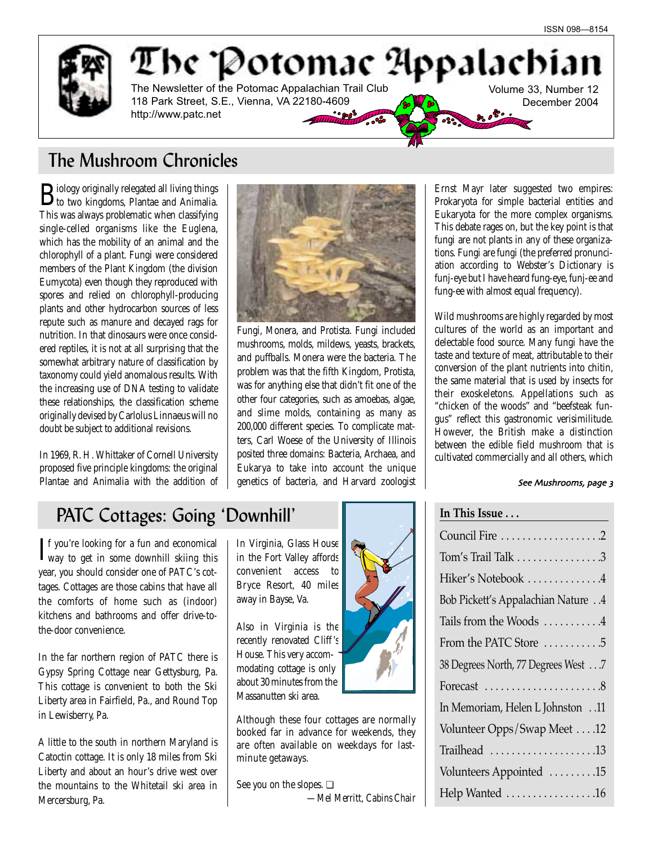

The Potomae Appalachia The Newsletter of the Potomac Appalachian Trail Club Volume 33, Number 12 118 Park Street, S.E., Vienna, VA 22180-4609 December 2004 http://www.patc.net يستسردهم

# The Mushroom Chronicles

Biology originally relegated all living things to two kingdoms, Plantae and Animalia. This was always problematic when classifying single-celled organisms like the Euglena, which has the mobility of an animal and the chlorophyll of a plant. Fungi were considered members of the Plant Kingdom (the division Eumycota) even though they reproduced with spores and relied on chlorophyll-producing plants and other hydrocarbon sources of less repute such as manure and decayed rags for nutrition. In that dinosaurs were once considered reptiles, it is not at all surprising that the somewhat arbitrary nature of classification by taxonomy could yield anomalous results. With the increasing use of DNA testing to validate these relationships, the classification scheme originally devised by Carlolus Linnaeus will no doubt be subject to additional revisions.

In 1969, R. H. Whittaker of Cornell University proposed five principle kingdoms: the original Plantae and Animalia with the addition of



Fungi, Monera, and Protista. Fungi included mushrooms, molds, mildews, yeasts, brackets, and puffballs. Monera were the bacteria. The problem was that the fifth Kingdom, Protista, was for anything else that didn't fit one of the other four categories, such as amoebas, algae, and slime molds, containing as many as 200,000 different species. To complicate matters, Carl Woese of the University of Illinois posited three domains: Bacteria, Archaea, and Eukarya to take into account the unique genetics of bacteria, and Harvard zoologist

Ernst Mayr later suggested two empires: Prokaryota for simple bacterial entities and Eukaryota for the more complex organisms. This debate rages on, but the key point is that fungi are not plants in any of these organizations. Fungi are fungi (the preferred pronunciation according to Webster's Dictionary is funj-eye but I have heard fung-eye, funj-ee and fung-ee with almost equal frequency).

Wild mushrooms are highly regarded by most cultures of the world as an important and delectable food source. Many fungi have the taste and texture of meat, attributable to their conversion of the plant nutrients into chitin, the same material that is used by insects for their exoskeletons. Appellations such as "chicken of the woods" and "beefsteak fungus" reflect this gastronomic verisimilitude. However, the British make a distinction between the edible field mushroom that is cultivated commercially and all others, which

**In This Issue . . .**

### See Mushrooms, page 3

# PATC Cottages: Going 'Downhill'

 $\mathbf{I}$ f you're looking for a fun and economical<br>way to get in some downhill skiing this way to get in some downhill skiing this year, you should consider one of PATC's cottages. Cottages are those cabins that have all the comforts of home such as (indoor) kitchens and bathrooms and offer drive-tothe-door convenience.

In the far northern region of PATC there is Gypsy Spring Cottage near Gettysburg, Pa. This cottage is convenient to both the Ski Liberty area in Fairfield, Pa., and Round Top in Lewisberry, Pa.

A little to the south in northern Maryland is Catoctin cottage. It is only 18 miles from Ski Liberty and about an hour's drive west over the mountains to the Whitetail ski area in Mercersburg, Pa.

In Virginia, Glass House in the Fort Valley affords convenient access to Bryce Resort, 40 miles away in Bayse, Va.

Also in Virginia is the recently renovated Cliff 's House. This very accommodating cottage is only about 30 minutes from the Massanutten ski area.

Although these four cottages are normally booked far in advance for weekends, they are often available on weekdays for lastminute getaways.

See you on the slopes. ❏ *—Mel Merritt, Cabins Chair* 



| Council Fire 2                                    |
|---------------------------------------------------|
| Tom's Trail Talk 3                                |
| Hiker's Notebook 4                                |
| <b>Bob Pickett's Appalachian Nature4</b>          |
| Tails from the Woods 4                            |
| From the PATC Store 5                             |
| 38 Degrees North, 77 Degrees West7                |
| Forecast $\dots\dots\dots\dots\dots\dots\dots$ .8 |
| In Memoriam, Helen L Johnston 11                  |
| Volunteer Opps/Swap Meet 12                       |
| Trailhead 13                                      |
| Volunteers Appointed 15                           |
| Help Wanted 16                                    |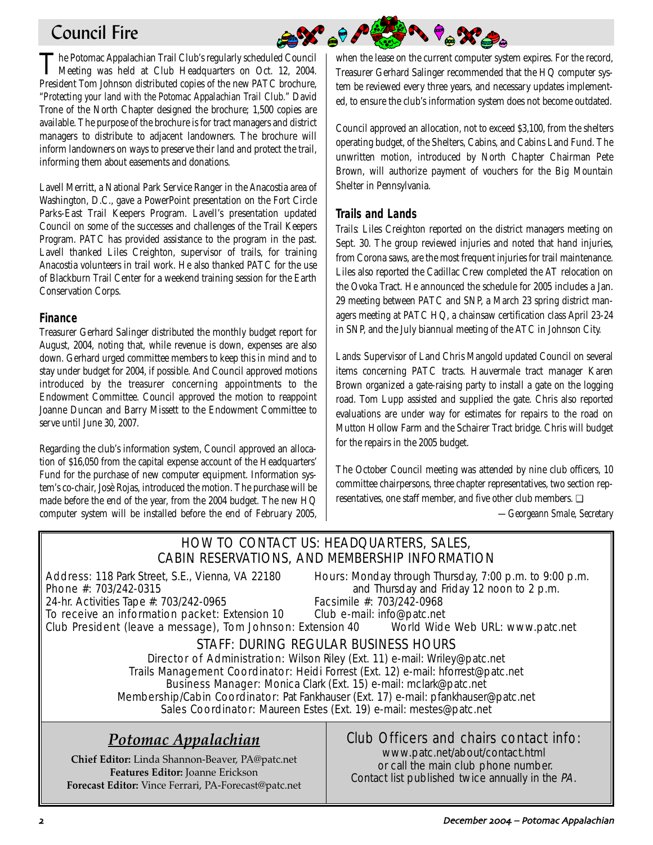# Council Fire

The Potomac Appalachian Trail Club's regularly scheduled Council<br>Meeting was held at Club Headquarters on Oct. 12, 2004. President Tom Johnson distributed copies of the new PATC brochure, *"Protecting your land with the Potomac Appalachian Trail Club."* David Trone of the North Chapter designed the brochure; 1,500 copies are available. The purpose of the brochure is for tract managers and district managers to distribute to adjacent landowners. The brochure will inform landowners on ways to preserve their land and protect the trail, informing them about easements and donations.

Lavell Merritt, a National Park Service Ranger in the Anacostia area of Washington, D.C., gave a PowerPoint presentation on the Fort Circle Parks-East Trail Keepers Program. Lavell's presentation updated Council on some of the successes and challenges of the Trail Keepers Program. PATC has provided assistance to the program in the past. Lavell thanked Liles Creighton, supervisor of trails, for training Anacostia volunteers in trail work. He also thanked PATC for the use of Blackburn Trail Center for a weekend training session for the Earth Conservation Corps.

### **Finance**

Treasurer Gerhard Salinger distributed the monthly budget report for August, 2004, noting that, while revenue is down, expenses are also down. Gerhard urged committee members to keep this in mind and to stay under budget for 2004, if possible. And Council approved motions introduced by the treasurer concerning appointments to the Endowment Committee. Council approved the motion to reappoint Joanne Duncan and Barry Missett to the Endowment Committee to serve until June 30, 2007.

Regarding the club's information system, Council approved an allocation of \$16,050 from the capital expense account of the Headquarters' Fund for the purchase of new computer equipment. Information system's co-chair, Josè Rojas, introduced the motion. The purchase will be made before the end of the year, from the 2004 budget. The new HQ computer system will be installed before the end of February 2005,

**BARARA Part** when the lease on the current computer system expires. For the record, Treasurer Gerhard Salinger recommended that the HQ computer system be reviewed every three years, and necessary updates implemented, to ensure the club's information system does not become outdated.

Council approved an allocation, not to exceed \$3,100, from the shelters operating budget, of the Shelters, Cabins, and Cabins Land Fund. The unwritten motion, introduced by North Chapter Chairman Pete Brown, will authorize payment of vouchers for the Big Mountain Shelter in Pennsylvania.

# **Trails and Lands**

*Trails:* Liles Creighton reported on the district managers meeting on Sept. 30. The group reviewed injuries and noted that hand injuries, from Corona saws, are the most frequent injuries for trail maintenance. Liles also reported the Cadillac Crew completed the AT relocation on the Ovoka Tract. He announced the schedule for 2005 includes a Jan. 29 meeting between PATC and SNP, a March 23 spring district managers meeting at PATC HQ, a chainsaw certification class April 23-24 in SNP, and the July biannual meeting of the ATC in Johnson City.

*Lands:* Supervisor of Land Chris Mangold updated Council on several items concerning PATC tracts. Hauvermale tract manager Karen Brown organized a gate-raising party to install a gate on the logging road. Tom Lupp assisted and supplied the gate. Chris also reported evaluations are under way for estimates for repairs to the road on Mutton Hollow Farm and the Schairer Tract bridge. Chris will budget for the repairs in the 2005 budget.

The October Council meeting was attended by nine club officers, 10 committee chairpersons, three chapter representatives, two section representatives, one staff member, and five other club members. ❏ *—Georgeann Smale, Secretary*

### HOW TO CONTACT US: HEADQUARTERS, SALES, CABIN RESERVATIONS, AND MEMBERSHIP INFORMATION Address: 118 Park Street, S.E., Vienna, VA 22180 Hours: Monday through Thursday, 7:00 p.m. to 9:00 p.m. **Phone #:** 703/242-0315 **and Thursday and Friday 12 noon to 2 p.m.** 24-hr. Activities Tape #: 703/242-0965 Facsimile #: 703/242-0968 To receive an information packet: Extension 10 Club e-mail: info@patc.net Club President (leave a message), Tom Johnson: Extension 40 World Wide Web URL: www.patc.net STAFF: DURING REGULAR BUSINESS HOURS Director of Administration: Wilson Riley (Ext. 11) e-mail: Wriley@patc.net Trails Management Coordinator: Heidi Forrest (Ext. 12) e-mail: hforrest@patc.net Business Manager: Monica Clark (Ext. 15) e-mail: mclark@patc.net Membership/Cabin Coordinator: Pat Fankhauser (Ext. 17) e-mail: pfankhauser@patc.net Sales Coordinator: Maureen Estes (Ext. 19) e-mail: mestes@patc.net Club Officers and chairs contact info: www.patc.net/about/contact.html or call the main club phone number. Contact list published twice annually in the PA. *Potomac Appalachian* **Chief Editor:** Linda Shannon-Beaver, PA@patc.net **Features Editor:** Joanne Erickson **Forecast Editor:** Vince Ferrari, PA-Forecast@patc.net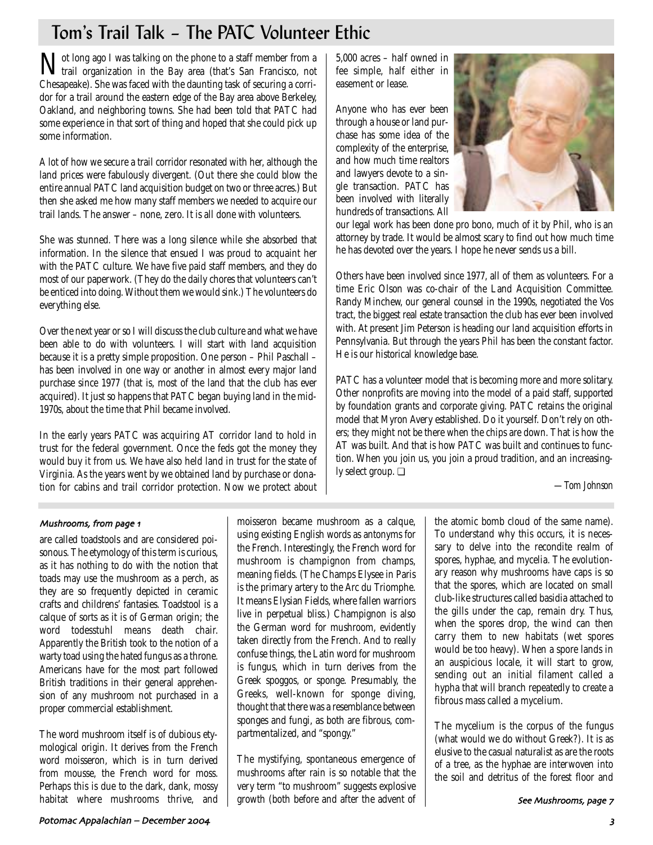# Tom's Trail Talk – The PATC Volunteer Ethic

Not long ago I was talking on the phone to a staff member from a trail organization in the Bay area (that's San Francisco, not Chesapeake). She was faced with the daunting task of securing a corridor for a trail around the eastern edge of the Bay area above Berkeley, Oakland, and neighboring towns. She had been told that PATC had some experience in that sort of thing and hoped that she could pick up some information.

A lot of how we secure a trail corridor resonated with her, although the land prices were fabulously divergent. (Out there she could blow the entire annual PATC land acquisition budget on two or three acres.) But then she asked me how many staff members we needed to acquire our trail lands. The answer – none, zero. It is all done with volunteers.

She was stunned. There was a long silence while she absorbed that information. In the silence that ensued I was proud to acquaint her with the PATC culture. We have five paid staff members, and they do most of our paperwork. (They do the daily chores that volunteers can't be enticed into doing. Without them we would sink.) The volunteers do everything else.

Over the next year or so I will discuss the club culture and what we have been able to do with volunteers. I will start with land acquisition because it is a pretty simple proposition. One person – Phil Paschall – has been involved in one way or another in almost every major land purchase since 1977 (that is, most of the land that the club has ever acquired). It just so happens that PATC began buying land in the mid-1970s, about the time that Phil became involved.

In the early years PATC was acquiring AT corridor land to hold in trust for the federal government. Once the feds got the money they would buy it from us. We have also held land in trust for the state of Virginia. As the years went by we obtained land by purchase or donation for cabins and trail corridor protection. Now we protect about

5,000 acres – half owned in fee simple, half either in easement or lease.

Anyone who has ever been through a house or land purchase has some idea of the complexity of the enterprise, and how much time realtors and lawyers devote to a single transaction. PATC has been involved with literally hundreds of transactions. All



our legal work has been done pro bono, much of it by Phil, who is an attorney by trade. It would be almost scary to find out how much time he has devoted over the years. I hope he never sends us a bill.

Others have been involved since 1977, all of them as volunteers. For a time Eric Olson was co-chair of the Land Acquisition Committee. Randy Minchew, our general counsel in the 1990s, negotiated the Vos tract, the biggest real estate transaction the club has ever been involved with. At present Jim Peterson is heading our land acquisition efforts in Pennsylvania. But through the years Phil has been the constant factor. He is our historical knowledge base.

PATC has a volunteer model that is becoming more and more solitary. Other nonprofits are moving into the model of a paid staff, supported by foundation grants and corporate giving. PATC retains the original model that Myron Avery established. Do it yourself. Don't rely on others; they might not be there when the chips are down. That is how the AT was built. And that is how PATC was built and continues to function. When you join us, you join a proud tradition, and an increasingly select group. ❏

*—Tom Johnson*

### Mushrooms, from page 1

are called toadstools and are considered poisonous. The etymology of this term is curious, as it has nothing to do with the notion that toads may use the mushroom as a perch, as they are so frequently depicted in ceramic crafts and childrens' fantasies. Toadstool is a calque of sorts as it is of German origin; the word todesstuhl means death chair. Apparently the British took to the notion of a warty toad using the hated fungus as a throne. Americans have for the most part followed British traditions in their general apprehension of any mushroom not purchased in a proper commercial establishment.

The word mushroom itself is of dubious etymological origin. It derives from the French word moisseron, which is in turn derived from mousse, the French word for moss. Perhaps this is due to the dark, dank, mossy habitat where mushrooms thrive, and moisseron became mushroom as a calque, using existing English words as antonyms for the French. Interestingly, the French word for mushroom is champignon from champs, meaning fields. (The Champs Elysee in Paris is the primary artery to the Arc du Triomphe. It means Elysian Fields, where fallen warriors live in perpetual bliss.) Champignon is also the German word for mushroom, evidently taken directly from the French. And to really confuse things, the Latin word for mushroom is fungus, which in turn derives from the Greek spoggos, or sponge. Presumably, the Greeks, well-known for sponge diving, thought that there was a resemblance between sponges and fungi, as both are fibrous, compartmentalized, and "spongy."

The mystifying, spontaneous emergence of mushrooms after rain is so notable that the very term "to mushroom" suggests explosive growth (both before and after the advent of

the atomic bomb cloud of the same name). To understand why this occurs, it is necessary to delve into the recondite realm of spores, hyphae, and mycelia. The evolutionary reason why mushrooms have caps is so that the spores, which are located on small club-like structures called basidia attached to the gills under the cap, remain dry. Thus, when the spores drop, the wind can then carry them to new habitats (wet spores would be too heavy). When a spore lands in an auspicious locale, it will start to grow, sending out an initial filament called a hypha that will branch repeatedly to create a fibrous mass called a mycelium.

The mycelium is the corpus of the fungus (what would we do without Greek?). It is as elusive to the casual naturalist as are the roots of a tree, as the hyphae are interwoven into the soil and detritus of the forest floor and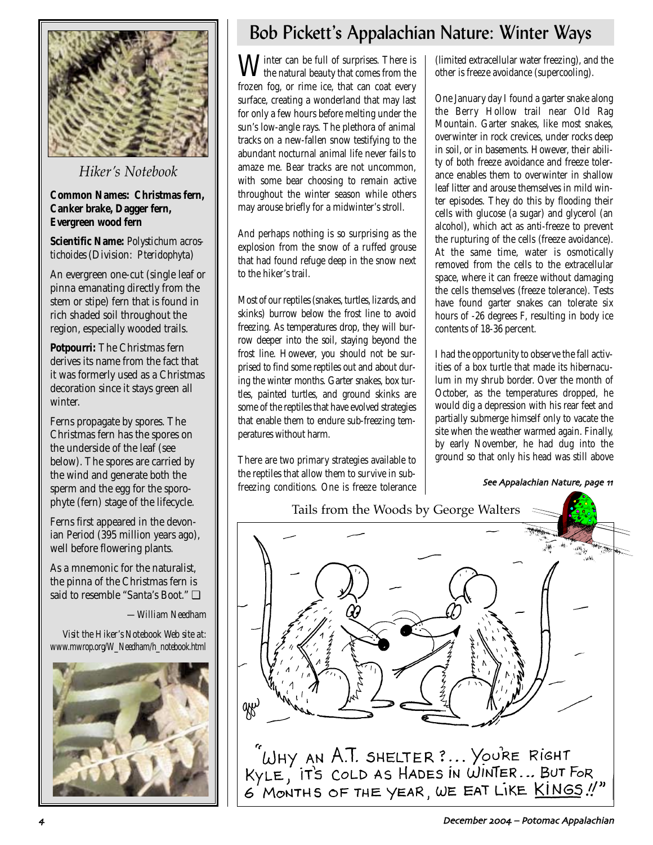

*Hiker's Notebook*

### **Common Names: Christmas fern, Canker brake, Dagger fern, Evergreen wood fern**

**Scientific Name:** *Polystichum acrostichoides* (Division: *Pteridophyta*)

An evergreen one-cut (single leaf or pinna emanating directly from the stem or stipe) fern that is found in rich shaded soil throughout the region, especially wooded trails.

**Potpourri:** The Christmas fern derives its name from the fact that it was formerly used as a Christmas decoration since it stays green all winter.

Ferns propagate by spores. The Christmas fern has the spores on the underside of the leaf (see below). The spores are carried by the wind and generate both the sperm and the egg for the sporophyte (fern) stage of the lifecycle.

Ferns first appeared in the devonian Period (395 million years ago), well before flowering plants.

As a mnemonic for the naturalist, the pinna of the Christmas fern is said to resemble "Santa's Boot." ❏

*—William Needham*

*Visit the Hiker's Notebook Web site at: www.mwrop.org/W\_Needham/h\_notebook.html*



# Bob Pickett's Appalachian Nature: Winter Ways

 $\mathbf{W}$  inter can be full of surprises. There is the natural beauty that comes from the frozen fog, or rime ice, that can coat every surface, creating a wonderland that may last for only a few hours before melting under the sun's low-angle rays. The plethora of animal tracks on a new-fallen snow testifying to the abundant nocturnal animal life never fails to amaze me. Bear tracks are not uncommon, with some bear choosing to remain active throughout the winter season while others may arouse briefly for a midwinter's stroll.

And perhaps nothing is so surprising as the explosion from the snow of a ruffed grouse that had found refuge deep in the snow next to the hiker's trail.

Most of our reptiles (snakes, turtles, lizards, and skinks) burrow below the frost line to avoid freezing. As temperatures drop, they will burrow deeper into the soil, staying beyond the frost line. However, you should not be surprised to find some reptiles out and about during the winter months. Garter snakes, box turtles, painted turtles, and ground skinks are some of the reptiles that have evolved strategies that enable them to endure sub-freezing temperatures without harm.

There are two primary strategies available to the reptiles that allow them to survive in subfreezing conditions. One is freeze tolerance (limited extracellular water freezing), and the other is freeze avoidance (supercooling).

One January day I found a garter snake along the Berry Hollow trail near Old Rag Mountain. Garter snakes, like most snakes, overwinter in rock crevices, under rocks deep in soil, or in basements. However, their ability of both freeze avoidance and freeze tolerance enables them to overwinter in shallow leaf litter and arouse themselves in mild winter episodes. They do this by flooding their cells with glucose (a sugar) and glycerol (an alcohol), which act as anti-freeze to prevent the rupturing of the cells (freeze avoidance). At the same time, water is osmotically removed from the cells to the extracellular space, where it can freeze without damaging the cells themselves (freeze tolerance). Tests have found garter snakes can tolerate six hours of -26 degrees F, resulting in body ice contents of 18-36 percent.

I had the opportunity to observe the fall activities of a box turtle that made its hibernaculum in my shrub border. Over the month of October, as the temperatures dropped, he would dig a depression with his rear feet and partially submerge himself only to vacate the site when the weather warmed again. Finally, by early November, he had dug into the ground so that only his head was still above

See Appalachian Nature, page 11



December 2004 - Potomac Appalachian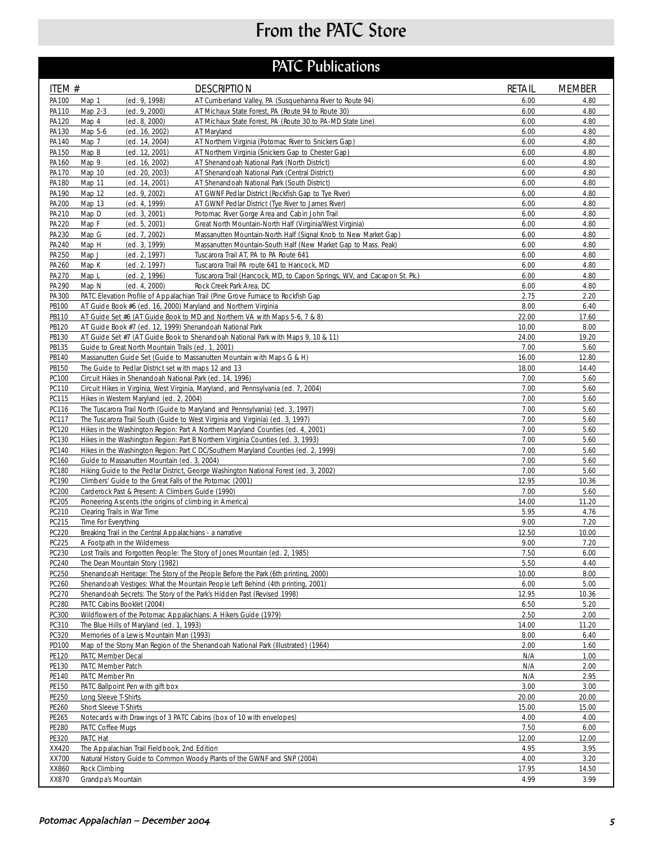# From the PATC Store

# **PATC Publications**

| ITEM #         |                                                                                                                  | <b>DESCRIPTION</b>                                                                                         | <b>RETAIL</b> | <b>MEMBER</b> |
|----------------|------------------------------------------------------------------------------------------------------------------|------------------------------------------------------------------------------------------------------------|---------------|---------------|
| PA100          | (ed. 9, 1998)<br>Map 1                                                                                           | AT Cumberland Valley, PA (Susquehanna River to Route 94)                                                   | 6.00          | 4.80          |
| PA110          | (ed. 9, 2000)<br>Map 2-3                                                                                         | AT Michaux State Forest, PA (Route 94 to Route 30)                                                         | 6.00          | 4.80          |
| PA120          | Map 4<br>(ed. 8, 2000)                                                                                           | AT Michaux State Forest, PA (Route 30 to PA-MD State Line)                                                 | 6.00          | 4.80          |
| PA130          | Map 5-6<br>(ed. 16, 2002)                                                                                        | AT Maryland                                                                                                | 6.00          | 4.80          |
| PA140<br>PA150 | Map 7<br>(ed. 14, 2004)<br>Map 8<br>(ed. 12, 2001)                                                               | AT Northern Virginia (Potomac River to Snickers Gap)<br>AT Northern Virginia (Snickers Gap to Chester Gap) | 6.00<br>6.00  | 4.80<br>4.80  |
| PA160          | Map 9<br>(ed. 16, 2002)                                                                                          | AT Shenandoah National Park (North District)                                                               | 6.00          | 4.80          |
| PA170          | Map 10<br>(ed. 20, 2003)                                                                                         | AT Shenandoah National Park (Central District)                                                             | 6.00          | 4.80          |
| PA180          | Map 11<br>(ed. 14, 2001)                                                                                         | AT Shenandoah National Park (South District)                                                               | 6.00          | 4.80          |
| PA190          | Map 12<br>(ed. 9, 2002)                                                                                          | AT GWNF Pedlar District (Rockfish Gap to Tye River)                                                        | 6.00          | 4.80          |
| PA200          | Map 13<br>(ed. 4, 1999)                                                                                          | AT GWNF Pedlar District (Tye River to James River)                                                         | 6.00          | 4.80          |
| PA210          | Map D<br>(ed. 3, 2001)                                                                                           | Potomac River Gorge Area and Cabin John Trail                                                              | 6.00          | 4.80          |
| PA220          | Map F<br>(ed. 5, 2001)                                                                                           | Great North Mountain-North Half (Virginia/West Virginia)                                                   | 6.00          | 4.80          |
| PA230          | Map G<br>(ed. 7, 2002)                                                                                           | Massanutten Mountain-North Half (Signal Knob to New Market Gap)                                            | 6.00          | 4.80          |
| PA240<br>PA250 | Map H<br>(ed. 3, 1999)<br>Map J<br>(ed. 2, 1997)                                                                 | Massanutten Mountain-South Half (New Market Gap to Mass. Peak)<br>Tuscarora Trail AT, PA to PA Route 641   | 6.00<br>6.00  | 4.80<br>4.80  |
| PA260          | Map K<br>(ed. 2, 1997)                                                                                           | Tuscarora Trail PA route 641 to Hancock, MD                                                                | 6.00          | 4.80          |
| PA270          | Map <sub>L</sub><br>(ed. 2, 1996)                                                                                | Tuscarora Trail (Hancock, MD, to Capon Springs, WV, and Cacapon St. Pk.)                                   | 6.00          | 4.80          |
| PA290          | Map N<br>(ed. 4, 2000)                                                                                           | Rock Creek Park Area, DC                                                                                   | 6.00          | 4.80          |
| PA300          |                                                                                                                  | PATC Elevation Profile of Appalachian Trail (Pine Grove Furnace to Rockfish Gap                            | 2.75          | 2.20          |
| PB100          | AT Guide Book #6 (ed. 16, 2000) Maryland and Northern Virginia                                                   |                                                                                                            | 8.00          | 6.40          |
| PB110          |                                                                                                                  | AT Guide Set #6 (AT Guide Book to MD and Northern VA with Maps 5-6, 7 & 8)                                 | 22.00         | 17.60         |
| PB120          | AT Guide Book #7 (ed. 12, 1999) Shenandoah National Park                                                         |                                                                                                            | 10.00         | 8.00          |
| PB130          |                                                                                                                  | AT Guide Set #7 (AT Guide Book to Shenandoah National Park with Maps 9, 10 & 11)                           | 24.00         | 19.20         |
| PB135          | Guide to Great North Mountain Trails (ed. 1, 2001)                                                               |                                                                                                            | 7.00          | 5.60          |
| PB140          |                                                                                                                  | Massanutten Guide Set (Guide to Massanutten Mountain with Maps G & H)                                      | 16.00         | 12.80         |
| PB150<br>PC100 | The Guide to Pedlar District set with maps 12 and 13<br>Circuit Hikes in Shenandoah National Park (ed. 14, 1996) |                                                                                                            | 18.00<br>7.00 | 14.40<br>5.60 |
| PC110          |                                                                                                                  | Circuit Hikes in Virginia, West Virginia, Maryland, and Pennsylvania (ed. 7, 2004)                         | 7.00          | 5.60          |
| PC115          | Hikes in Western Maryland (ed. 2, 2004)                                                                          |                                                                                                            | 7.00          | 5.60          |
| PC116          |                                                                                                                  | The Tuscarora Trail North (Guide to Maryland and Pennsylvania) (ed. 3, 1997)                               | 7.00          | 5.60          |
| PC117          |                                                                                                                  | The Tuscarora Trail South (Guide to West Virginia and Virginia) (ed. 3, 1997)                              | 7.00          | 5.60          |
| PC120          |                                                                                                                  | Hikes in the Washington Region: Part A Northern Maryland Counties (ed. 4, 2001)                            | 7.00          | 5.60          |
| PC130          |                                                                                                                  | Hikes in the Washington Region: Part B Northern Virginia Counties (ed. 3, 1993)                            | 7.00          | 5.60          |
| PC140          |                                                                                                                  | Hikes in the Washington Region: Part C DC/Southern Maryland Counties (ed. 2, 1999)                         | 7.00          | 5.60          |
| PC160          | Guide to Massanutten Mountain (ed. 3, 2004)                                                                      |                                                                                                            | 7.00          | 5.60          |
| PC180          |                                                                                                                  | Hiking Guide to the Pedlar District, George Washington National Forest (ed. 3, 2002)                       | 7.00          | 5.60          |
| PC190<br>PC200 | Climbers' Guide to the Great Falls of the Potomac (2001)<br>Carderock Past & Present: A Climbers Guide (1990)    |                                                                                                            | 12.95<br>7.00 | 10.36<br>5.60 |
| PC205          | Pioneering Ascents (the origins of climbing in America)                                                          |                                                                                                            | 14.00         | 11.20         |
| PC210          | Clearing Trails in War Time                                                                                      |                                                                                                            | 5.95          | 4.76          |
| PC215          | Time For Everything                                                                                              |                                                                                                            | 9.00          | 7.20          |
| <b>PC220</b>   | Breaking Trail in the Central Appalachians - a narrative                                                         |                                                                                                            | 12.50         | 10.00         |
| PC225          | A Footpath in the Wilderness                                                                                     |                                                                                                            | 9.00          | 7.20          |
| PC230          |                                                                                                                  | Lost Trails and Forgotten People: The Story of Jones Mountain (ed. 2, 1985)                                | 7.50          | 6.00          |
| PC240          | The Dean Mountain Story (1982)                                                                                   |                                                                                                            | 5.50          | 4.40          |
| PC250          |                                                                                                                  | Shenandoah Heritage: The Story of the People Before the Park (6th printing, 2000)                          | 10.00         | 8.00          |
| PC260          |                                                                                                                  | Shenandoah Vestiges: What the Mountain People Left Behind (4th printing, 2001)                             | 6.00          | 5.00          |
| PC270<br>PC280 | PATC Cabins Booklet (2004)                                                                                       | Shenandoah Secrets: The Story of the Park's Hidden Past (Revised 1998)                                     | 12.95<br>6.50 | 10.36<br>5.20 |
| PC300          | Wildflowers of the Potomac Appalachians: A Hikers Guide (1979)                                                   |                                                                                                            | 2.50          | 2.00          |
| PC310          | The Blue Hills of Maryland (ed. 1, 1993)                                                                         |                                                                                                            | 14.00         | 11.20         |
| PC320          | Memories of a Lewis Mountain Man (1993)                                                                          |                                                                                                            | 8.00          | 6.40          |
| PD100          |                                                                                                                  | Map of the Stony Man Region of the Shenandoah National Park (Illustrated) (1964)                           | 2.00          | 1.60          |
| PE120          | PATC Member Decal                                                                                                |                                                                                                            | N/A           | 1.00          |
| PE130          | PATC Member Patch                                                                                                |                                                                                                            | N/A           | 2.00          |
| PE140          | PATC Member Pin                                                                                                  |                                                                                                            | N/A           | 2.95          |
| PE150          | PATC Ballpoint Pen with gift box                                                                                 |                                                                                                            | 3.00          | 3.00          |
| PE250          | Long Sleeve T-Shirts                                                                                             |                                                                                                            | 20.00         | 20.00         |
| PE260          | Short Sleeve T-Shirts                                                                                            |                                                                                                            | 15.00         | 15.00         |
| PE265<br>PE280 | PATC Coffee Mugs                                                                                                 | Notecards with Drawings of 3 PATC Cabins (box of 10 with envelopes)                                        | 4.00<br>7.50  | 4.00<br>6.00  |
| PE320          | PATC Hat                                                                                                         |                                                                                                            | 12.00         | 12.00         |
| XX420          | The Appalachian Trail Fieldbook, 2nd Edition                                                                     |                                                                                                            | 4.95          | 3.95          |
| XX700          |                                                                                                                  | Natural History Guide to Common Woody Plants of the GWNF and SNP (2004)                                    | 4.00          | 3.20          |
| XX860          | Rock Climbing                                                                                                    |                                                                                                            | 17.95         | 14.50         |
| XX870          | Grandpa's Mountain                                                                                               |                                                                                                            | 4.99          | 3.99          |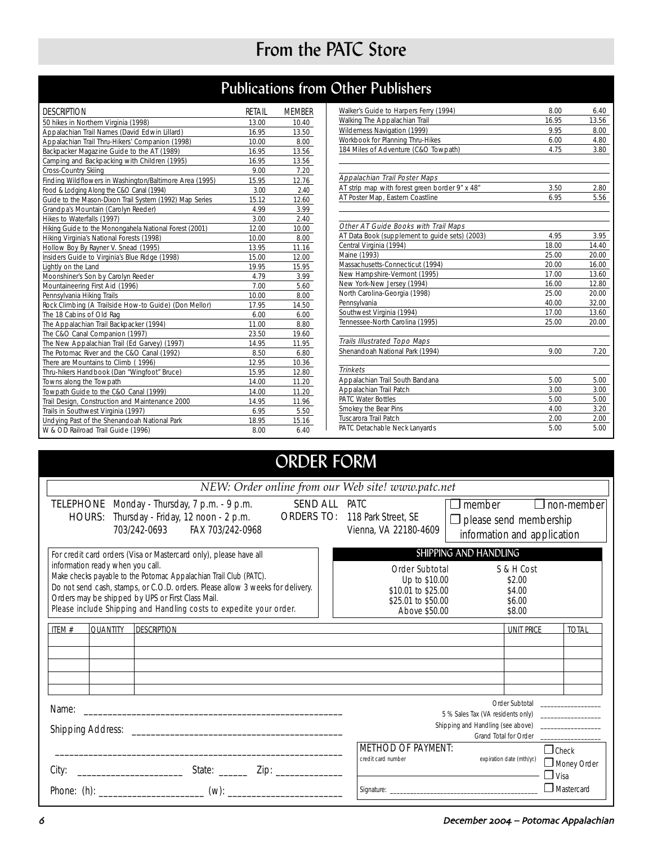# From the PATC Store

# Publications from Other Publishers

| <b>DESCRIPTION</b>                                      | RETAIL | <b>MEMBER</b> |
|---------------------------------------------------------|--------|---------------|
| 50 hikes in Northern Virginia (1998)                    | 13.00  | 10.40         |
| Appalachian Trail Names (David Edwin Lillard)           | 16.95  | 13.50         |
| Appalachian Trail Thru-Hikers' Companion (1998)         | 10.00  | 8.00          |
| Backpacker Magazine Guide to the AT (1989)              | 16.95  | 13.56         |
| Camping and Backpacking with Children (1995)            | 16.95  | 13.56         |
| Cross-Country Skiing                                    | 9.00   | 7.20          |
| Finding Wildflowers in Washington/Baltimore Area (1995) | 15.95  | 12.76         |
| Food & Lodging Along the C&O Canal (1994)               | 3.00   | 2.40          |
| Guide to the Mason-Dixon Trail System (1992) Map Series | 15.12  | 12.60         |
| Grandpa's Mountain (Carolyn Reeder)                     | 4.99   | 3.99          |
| Hikes to Waterfalls (1997)                              | 3.00   | 2.40          |
| Hiking Guide to the Monongahela National Forest (2001)  | 12.00  | 10.00         |
| Hiking Virginia's National Forests (1998)               | 10.00  | 8.00          |
| Hollow Boy By Rayner V. Snead (1995)                    | 13.95  | 11.16         |
| Insiders Guide to Virginia's Blue Ridge (1998)          | 15.00  | 12.00         |
| Lightly on the Land                                     | 19.95  | 15.95         |
| Moonshiner's Son by Carolyn Reeder                      | 4.79   | 3.99          |
| Mountaineering First Aid (1996)                         | 7.00   | 5.60          |
| Pennsylvania Hiking Trails                              | 10.00  | 8.00          |
| Rock Climbing (A Trailside How-to Guide) (Don Mellor)   | 17.95  | 14.50         |
| The 18 Cabins of Old Rag                                | 6.00   | 6.00          |
| The Appalachian Trail Backpacker (1994)                 | 11.00  | 8.80          |
| The C&O Canal Companion (1997)                          | 23.50  | 19.60         |
| The New Appalachian Trail (Ed Garvey) (1997)            | 14.95  | 11.95         |
| The Potomac River and the C&O Canal (1992)              | 8.50   | 6.80          |
| There are Mountains to Climb (1996)                     | 12.95  | 10.36         |
| Thru-hikers Handbook (Dan "Wingfoot" Bruce)             | 15.95  | 12.80         |
| Towns along the Towpath                                 | 14.00  | 11.20         |
| Towpath Guide to the C&O Canal (1999)                   | 14.00  | 11.20         |
| Trail Design, Construction and Maintenance 2000         | 14.95  | 11.96         |
| Trails in Southwest Virginia (1997)                     | 6.95   | 5.50          |
| Undying Past of the Shenandoah National Park            | 18.95  | 15.16         |
| W & OD Railroad Trail Guide (1996)                      | 8.00   | 6.40          |

| Walker's Guide to Harpers Ferry (1994)         | 8.00  | 6.40  |
|------------------------------------------------|-------|-------|
| Walking The Appalachian Trail                  | 16.95 | 13.56 |
| Wilderness Navigation (1999)                   | 9.95  | 8.00  |
| Workbook for Planning Thru-Hikes               | 6.00  | 4.80  |
| 184 Miles of Adventure (C&O Towpath)           | 4.75  | 3.80  |
| Appalachian Trail Poster Maps                  |       |       |
| AT strip map with forest green border 9" x 48" | 3.50  | 2.80  |
| AT Poster Map, Eastern Coastline               | 6.95  | 5.56  |
| Other AT Guide Books with Trail Maps           |       |       |
| AT Data Book (supplement to quide sets) (2003) | 4.95  | 3.95  |
| Central Virginia (1994)                        | 18.00 | 14.40 |
| Maine (1993)                                   | 25.00 | 20.00 |
| Massachusetts-Connecticut (1994)               | 20.00 | 16.00 |
| New Hampshire-Vermont (1995)                   | 17.00 | 13.60 |
| New York-New Jersey (1994)                     | 16.00 | 12.80 |
| North Carolina-Georgia (1998)                  | 25.00 | 20.00 |
| Pennsylvania                                   | 40.00 | 32.00 |
| Southwest Virginia (1994)                      | 17.00 | 13.60 |
| Tennessee-North Carolina (1995)                | 25.00 | 20.00 |
| <b>Trails Illustrated Topo Maps</b>            |       |       |
| Shenandoah National Park (1994)                | 9.00  | 7.20  |
| <b>Trinkets</b>                                |       |       |
| Appalachian Trail South Bandana                | 5.00  | 5.00  |
| Appalachian Trail Patch                        | 3.00  | 3.00  |
| <b>PATC Water Bottles</b>                      | 5.00  | 5.00  |
| Smokey the Bear Pins                           | 4.00  | 3.20  |
| <b>Tuscarora Trail Patch</b>                   | 2.00  | 2.00  |
| PATC Detachable Neck Lanyards                  | 5.00  | 5.00  |

# ORDER FORM

| NEW: Order online from our Web site! www.patc.net                                                                                                                                                                                                                                                                                                                                                                                                                                                                                                                      |                                                                                                                                                    |  |  |
|------------------------------------------------------------------------------------------------------------------------------------------------------------------------------------------------------------------------------------------------------------------------------------------------------------------------------------------------------------------------------------------------------------------------------------------------------------------------------------------------------------------------------------------------------------------------|----------------------------------------------------------------------------------------------------------------------------------------------------|--|--|
| <b>SEND ALL PATC</b><br><b>TELEPHONE</b> Monday - Thursday, 7 p.m. - 9 p.m.<br><b>ORDERS TO:</b><br>HOURS: Thursday - Friday, 12 noon - 2 p.m.<br>703/242-0693 FAX 703/242-0968                                                                                                                                                                                                                                                                                                                                                                                        | $\Box$ member<br>$\Box$ non-member<br>118 Park Street, SE<br>$\Box$ please send membership<br>Vienna, VA 22180-4609<br>information and application |  |  |
| SHIPPING AND HANDLING<br>For credit card orders (Visa or Mastercard only), please have all<br>information ready when you call.<br>Order Subtotal<br>S & H Cost<br>Make checks payable to the Potomac Appalachian Trail Club (PATC).<br>Up to \$10.00<br>\$2.00<br>Do not send cash, stamps, or C.O.D. orders. Please allow 3 weeks for delivery.<br>\$10.01 to \$25.00<br>\$4.00<br>Orders may be shipped by UPS or First Class Mail.<br>\$25.01 to \$50.00<br>\$6.00<br>Please include Shipping and Handling costs to expedite your order.<br>Above \$50.00<br>\$8.00 |                                                                                                                                                    |  |  |
| ITFM $#$<br><b>QUANTITY</b><br><b>DESCRIPTION</b>                                                                                                                                                                                                                                                                                                                                                                                                                                                                                                                      | <b>UNIT PRICE</b><br><b>TOTAL</b>                                                                                                                  |  |  |
| Name:                                                                                                                                                                                                                                                                                                                                                                                                                                                                                                                                                                  | Order Subtotal<br>Grand Total for Order                                                                                                            |  |  |
| City:                                                                                                                                                                                                                                                                                                                                                                                                                                                                                                                                                                  | <b>METHOD OF PAYMENT:</b><br>$\Box$ Check<br>credit card number<br>expiration date (mth/yr.)<br>Money Order<br>$\Box$ Visa<br>Mastercard           |  |  |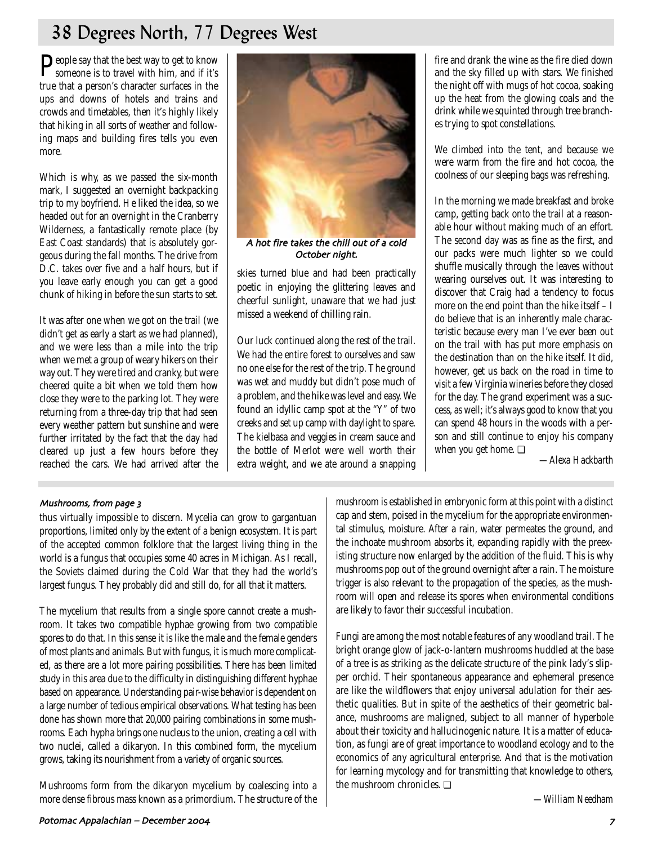# 38 Degrees North, 77 Degrees West

People say that the best way to get to know<br>someone is to travel with him, and if it's true that a person's character surfaces in the ups and downs of hotels and trains and crowds and timetables, then it's highly likely that hiking in all sorts of weather and following maps and building fires tells you even more.

Which is why, as we passed the six-month mark, I suggested an overnight backpacking trip to my boyfriend. He liked the idea, so we headed out for an overnight in the Cranberry Wilderness, a fantastically remote place (by East Coast standards) that is absolutely gorgeous during the fall months. The drive from D.C. takes over five and a half hours, but if you leave early enough you can get a good chunk of hiking in before the sun starts to set.

It was after one when we got on the trail (we didn't get as early a start as we had planned), and we were less than a mile into the trip when we met a group of weary hikers on their way out. They were tired and cranky, but were cheered quite a bit when we told them how close they were to the parking lot. They were returning from a three-day trip that had seen every weather pattern but sunshine and were further irritated by the fact that the day had cleared up just a few hours before they reached the cars. We had arrived after the



A hot fire takes the chill out of a cold October night.

skies turned blue and had been practically poetic in enjoying the glittering leaves and cheerful sunlight, unaware that we had just missed a weekend of chilling rain.

Our luck continued along the rest of the trail. We had the entire forest to ourselves and saw no one else for the rest of the trip. The ground was wet and muddy but didn't pose much of a problem, and the hike was level and easy. We found an idyllic camp spot at the "Y" of two creeks and set up camp with daylight to spare. The kielbasa and veggies in cream sauce and the bottle of Merlot were well worth their extra weight, and we ate around a snapping fire and drank the wine as the fire died down and the sky filled up with stars. We finished the night off with mugs of hot cocoa, soaking up the heat from the glowing coals and the drink while we squinted through tree branches trying to spot constellations.

We climbed into the tent, and because we were warm from the fire and hot cocoa, the coolness of our sleeping bags was refreshing.

In the morning we made breakfast and broke camp, getting back onto the trail at a reasonable hour without making much of an effort. The second day was as fine as the first, and our packs were much lighter so we could shuffle musically through the leaves without wearing ourselves out. It was interesting to discover that Craig had a tendency to focus more on the end point than the hike itself – I do believe that is an inherently male characteristic because every man I've ever been out on the trail with has put more emphasis on the destination than on the hike itself. It did, however, get us back on the road in time to visit a few Virginia wineries before they closed for the day. The grand experiment was a success, as well; it's always good to know that you can spend 48 hours in the woods with a person and still continue to enjoy his company when you get home. ❏

*—Alexa Hackbarth*

### Mushrooms, from page 3

thus virtually impossible to discern. Mycelia can grow to gargantuan proportions, limited only by the extent of a benign ecosystem. It is part of the accepted common folklore that the largest living thing in the world is a fungus that occupies some 40 acres in Michigan. As I recall, the Soviets claimed during the Cold War that they had the world's largest fungus. They probably did and still do, for all that it matters.

The mycelium that results from a single spore cannot create a mushroom. It takes two compatible hyphae growing from two compatible spores to do that. In this sense it is like the male and the female genders of most plants and animals. But with fungus, it is much more complicated, as there are a lot more pairing possibilities. There has been limited study in this area due to the difficulty in distinguishing different hyphae based on appearance. Understanding pair-wise behavior is dependent on a large number of tedious empirical observations. What testing has been done has shown more that 20,000 pairing combinations in some mushrooms. Each hypha brings one nucleus to the union, creating a cell with two nuclei, called a dikaryon. In this combined form, the mycelium grows, taking its nourishment from a variety of organic sources.

Mushrooms form from the dikaryon mycelium by coalescing into a more dense fibrous mass known as a primordium. The structure of the mushroom is established in embryonic form at this point with a distinct cap and stem, poised in the mycelium for the appropriate environmental stimulus, moisture. After a rain, water permeates the ground, and the inchoate mushroom absorbs it, expanding rapidly with the preexisting structure now enlarged by the addition of the fluid. This is why mushrooms pop out of the ground overnight after a rain. The moisture trigger is also relevant to the propagation of the species, as the mushroom will open and release its spores when environmental conditions are likely to favor their successful incubation.

Fungi are among the most notable features of any woodland trail. The bright orange glow of jack-o-lantern mushrooms huddled at the base of a tree is as striking as the delicate structure of the pink lady's slipper orchid. Their spontaneous appearance and ephemeral presence are like the wildflowers that enjoy universal adulation for their aesthetic qualities. But in spite of the aesthetics of their geometric balance, mushrooms are maligned, subject to all manner of hyperbole about their toxicity and hallucinogenic nature. It is a matter of education, as fungi are of great importance to woodland ecology and to the economics of any agricultural enterprise. And that is the motivation for learning mycology and for transmitting that knowledge to others, the mushroom chronicles. ❏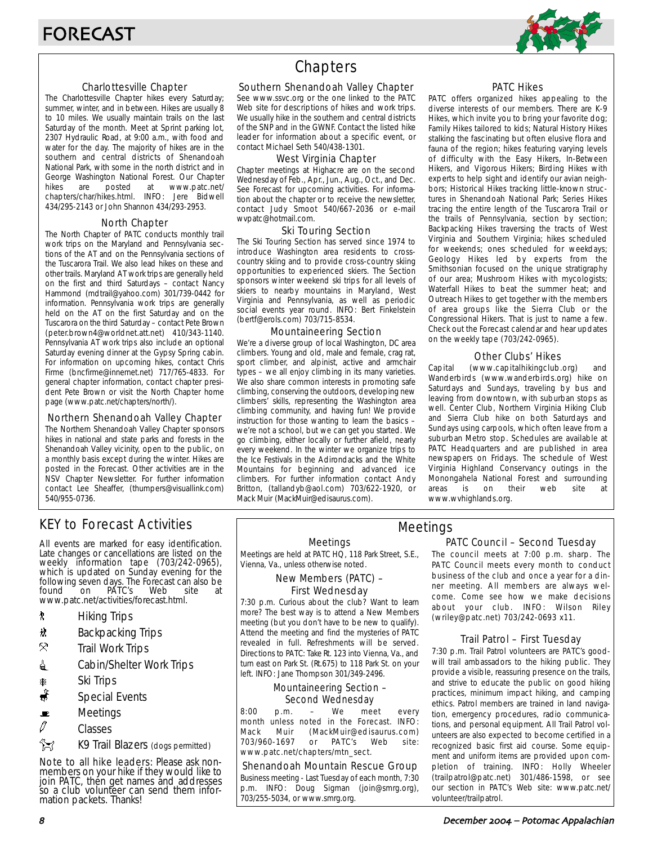

### Charlottesville Chapter

The Charlottesville Chapter hikes every Saturday; summer, winter, and in between. Hikes are usually 8 to 10 miles. We usually maintain trails on the last Saturday of the month. Meet at Sprint parking lot, 2307 Hydraulic Road, at 9:00 a.m., with food and water for the day. The majority of hikes are in the southern and central districts of Shenandoah National Park, with some in the north district and in George Washington National Forest. Our Chapter<br>hikes are posted at www.patc.net/ hikes are posted at www.patc.net/ chapters/char/hikes.html. INFO: Jere Bidwell 434/295-2143 or John Shannon 434/293-2953.

### North Chapter

The North Chapter of PATC conducts monthly trail work trips on the Maryland and Pennsylvania sections of the AT and on the Pennsylvania sections of the Tuscarora Trail. We also lead hikes on these and other trails. Maryland AT work trips are generally held on the first and third Saturdays – contact Nancy Hammond (mdtrail@yahoo.com) 301/739-0442 for information. Pennsylvania work trips are generally held on the AT on the first Saturday and on the Tuscarora on the third Saturday – contact Pete Brown (peter.brown4@worldnet.att.net) 410/343-1140. Pennsylvania AT work trips also include an optional Saturday evening dinner at the Gypsy Spring cabin. For information on upcoming hikes, contact Chris Firme (bncfirme@innernet.net) 717/765-4833. For general chapter information, contact chapter president Pete Brown or visit the North Chapter home page (www.patc.net/chapters/north/).

### Northern Shenandoah Valley Chapter

The Northern Shenandoah Valley Chapter sponsors hikes in national and state parks and forests in the Shenandoah Valley vicinity, open to the public, on a monthly basis except during the winter. Hikes are posted in the Forecast. Other activities are in the NSV Chapter Newsletter. For further information contact Lee Sheaffer, (thumpers@visuallink.com) 540/955-0736.

# **Chapters**

### Southern Shenandoah Valley Chapter

See www.ssvc.org or the one linked to the PATC Web site for descriptions of hikes and work trips. We usually hike in the southern and central districts of the SNP and in the GWNF. Contact the listed hike leader for information about a specific event, or contact Michael Seth 540/438-1301.

### West Virginia Chapter

Chapter meetings at Highacre are on the second Wednesday of Feb., Apr., Jun., Aug., Oct., and Dec. See Forecast for upcoming activities. For information about the chapter or to receive the newsletter, contact Judy Smoot 540/667-2036 or e-mail wvpatc@hotmail.com.

### Ski Touring Section

The Ski Touring Section has served since 1974 to introduce Washington area residents to crosscountry skiing and to provide cross-country skiing opportunities to experienced skiers. The Section sponsors winter weekend ski trips for all levels of skiers to nearby mountains in Maryland, West Virginia and Pennsylvania, as well as periodic social events year round. INFO: Bert Finkelstein (bertf@erols.com) 703/715-8534.

#### Mountaineering Section

We're a diverse group of local Washington, DC area climbers. Young and old, male and female, crag rat, sport climber, and alpinist, active and armchair types – we all enjoy climbing in its many varieties. We also share common interests in promoting safe climbing, conserving the outdoors, developing new climbers' skills, representing the Washington area climbing community, and having fun! We provide instruction for those wanting to learn the basics – we're not a school, but we can get you started. We go climbing, either locally or further afield, nearly every weekend. In the winter we organize trips to the Ice Festivals in the Adirondacks and the White Mountains for beginning and advanced ice climbers. For further information contact Andy Britton, (tallandyb@aol.com) 703/622-1920, or Mack Muir (MackMuir@edisaurus.com).

### PATC Hikes

PATC offers organized hikes appealing to the diverse interests of our members. There are K-9 Hikes, which invite you to bring your favorite dog; Family Hikes tailored to kids; Natural History Hikes stalking the fascinating but often elusive flora and fauna of the region; hikes featuring varying levels of difficulty with the Easy Hikers, In-Between Hikers, and Vigorous Hikers; Birding Hikes with experts to help sight and identify our avian neighbors; Historical Hikes tracking little-known structures in Shenandoah National Park; Series Hikes tracing the entire length of the Tuscarora Trail or the trails of Pennsylvania, section by section; Backpacking Hikes traversing the tracts of West Virginia and Southern Virginia; hikes scheduled for weekends; ones scheduled for weekdays; Geology Hikes led by experts from the Smithsonian focused on the unique stratigraphy of our area; Mushroom Hikes with mycologists; Waterfall Hikes to beat the summer heat; and Outreach Hikes to get together with the members of area groups like the Sierra Club or the Congressional Hikers. That is just to name a few. Check out the Forecast calendar and hear updates on the weekly tape (703/242-0965).

### Other Clubs' Hikes

Capital (www.capitalhikingclub.org) and Wanderbirds (www.wanderbirds.org) hike on Saturdays and Sundays, traveling by bus and leaving from downtown, with suburban stops as well. Center Club, Northern Virginia Hiking Club and Sierra Club hike on both Saturdays and Sundays using carpools, which often leave from a suburban Metro stop. Schedules are available at PATC Headquarters and are published in area newspapers on Fridays. The schedule of West Virginia Highland Conservancy outings in the Monongahela National Forest and surrounding areas is on their web site at www.wvhighlands.org.

# KEY to Forecast Activities

All events are marked for easy identification. Late changes or cancellations are listed on the weekly information tape (703/242-0965), which is updated on Sunday evening for the following seven days. The Forecast can also be<br>found on PATC's Web site at PÁTC's www.patc.net/activities/forecast.html.

- **\*** Hiking Trips
- \* Backpacking Trips
- $\mathcal{R}$  Trail Work Trips
- **i** Cabin/Shelter Work Trips
- **A** Ski Trips
- Special Events
- $\blacksquare$  Meetings
- $\varnothing$  Classes
- K9 Trail Blazers (dogs permitted)

Note to all hike leaders: Please ask nonmembers on your hike if they would like to join PATC, then get names and addresses so a club volunteer can send them information packets. Thanks!

### Meetings

Meetings are held at PATC HQ, 118 Park Street, S.E., Vienna, Va., unless otherwise noted.

### New Members (PATC) – First Wednesday

7:30 p.m. Curious about the club? Want to learn more? The best way is to attend a New Members meeting (but you don't have to be new to qualify). Attend the meeting and find the mysteries of PATC revealed in full. Refreshments will be served. Directions to PATC: Take Rt. 123 into Vienna, Va., and turn east on Park St. (Rt.675) to 118 Park St. on your left. INFO: Jane Thompson 301/349-2496.

### Mountaineering Section – Second Wednesday

8:00 p.m. – We meet every month unless noted in the Forecast. INFO: Mack Muir (MackMuir@edisaurus.com) 703/960-1697 or PATC's Web site: www.patc.net/chapters/mtn\_sect.

### Shenandoah Mountain Rescue Group

Business meeting - Last Tuesday of each month, 7:30 p.m. INFO: Doug Sigman (join@smrg.org), 703/255-5034, or www.smrg.org.

### PATC Council – Second Tuesday Meetings

The council meets at 7:00 p.m. sharp. The PATC Council meets every month to conduct business of the club and once a year for a dinner meeting. All members are always welcome. Come see how we make decisions about your club. INFO: Wilson Riley (wriley@patc.net) 703/242-0693 x11.

### Trail Patrol – First Tuesday

7:30 p.m. Trail Patrol volunteers are PATC's goodwill trail ambassadors to the hiking public. They provide a visible, reassuring presence on the trails, and strive to educate the public on good hiking practices, minimum impact hiking, and camping ethics. Patrol members are trained in land navigation, emergency procedures, radio communications, and personal equipment. All Trail Patrol volunteers are also expected to become certified in a recognized basic first aid course. Some equipment and uniform items are provided upon completion of training. INFO: Holly Wheeler (trailpatrol@patc.net) 301/486-1598, or see our section in PATC's Web site: www.patc.net/ volunteer/trailpatrol.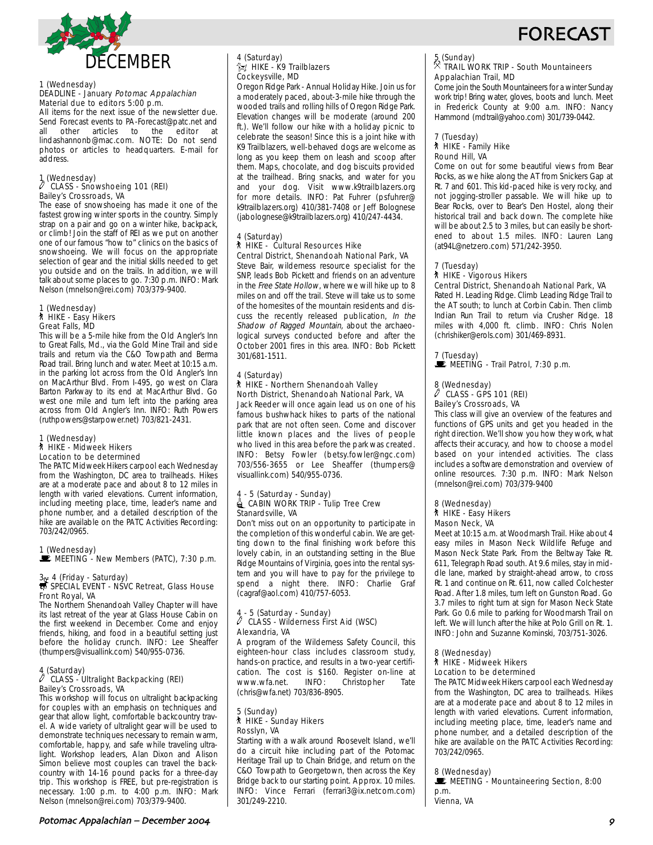



#### 1 (Wednesday) DEADLINE - January Potomac Appalachian Material due to editors 5:00 p.m.

All items for the next issue of the newsletter due. Send Forecast events to PA-Forecast@patc.net and all other articles to the editor at lindashannonb@mac.com. NOTE: Do not send photos or articles to headquarters. E-mail for address.

### 1 (Wednesday)<br>
CLASS CLASS - Snowshoeing 101 (REI) Bailey's Crossroads, VA

The ease of snowshoeing has made it one of the fastest growing winter sports in the country. Simply strap on a pair and go on a winter hike, backpack, or climb! Join the staff of REI as we put on another one of our famous "how to" clinics on the basics of snowshoeing. We will focus on the appropriate selection of gear and the initial skills needed to get you outside and on the trails. In addition, we will talk about some places to go. 7:30 p.m. INFO: Mark Nelson (mnelson@rei.com) 703/379-9400.

### 1 (Wednesday) ` HIKE - Easy Hikers Great Falls, MD

This will be a 5-mile hike from the Old Angler's Inn to Great Falls, Md., via the Gold Mine Trail and side trails and return via the C&O Towpath and Berma Road trail. Bring lunch and water. Meet at 10:15 a.m. in the parking lot across from the Old Angler's Inn on MacArthur Blvd. From I-495, go west on Clara Barton Parkway to its end at MacArthur Blvd. Go west one mile and turn left into the parking area across from Old Angler's Inn. INFO: Ruth Powers (ruthpowers@starpower.net) 703/821-2431.

#### 1 (Wednesday) ` HIKE - Midweek Hikers Location to be determined

The PATC Midweek Hikers carpool each Wednesday from the Washington, DC area to trailheads. Hikes are at a moderate pace and about 8 to 12 miles in length with varied elevations. Current information, including meeting place, time, leader's name and phone number, and a detailed description of the hike are available on the PATC Activities Recording: 703/242/0965.

1 (Wednesday)<br>■ MEETING - New Members (PATC), 7:30 p.m.

# 3 + 4 (Friday - Saturday)<br>
SPECIAL EVENT - NSVC Retreat, Glass House Front Royal, VA

The Northern Shenandoah Valley Chapter will have its last retreat of the year at Glass House Cabin on the first weekend in December. Come and enjoy friends, hiking, and food in a beautiful setting just before the holiday crunch. INFO: Lee Sheaffer (thumpers@visuallink.com) 540/955-0736.

# 4 (Saturday) a CLASS - Ultralight Backpacking (REI) Bailey's Crossroads, VA

This workshop will focus on ultralight backpacking for couples with an emphasis on techniques and gear that allow light, comfortable backcountry travel. A wide variety of ultralight gear will be used to demonstrate techniques necessary to remain warm, comfortable, happy, and safe while traveling ultralight. Workshop leaders, Alan Dixon and Alison Simon believe most couples can travel the backcountry with 14-16 pound packs for a three-day trip. This workshop is FREE, but pre-registration is necessary. 1:00 p.m. to 4:00 p.m. INFO: Mark Nelson (mnelson@rei.com) 703/379-9400.

#### 4 (Saturday)  $\hat{}$ z $\gamma$  HIKE - K9 Trailblazers Cockeysville, MD

Oregon Ridge Park - Annual Holiday Hike. Join us for a moderately paced, about-3-mile hike through the wooded trails and rolling hills of Oregon Ridge Park. Elevation changes will be moderate (around 200 ft.). We'll follow our hike with a holiday picnic to celebrate the season! Since this is a joint hike with K9 Trailblazers, well-behaved dogs are welcome as long as you keep them on leash and scoop after them. Maps, chocolate, and dog biscuits provided at the trailhead. Bring snacks, and water for you and your dog. Visit www.k9trailblazers.org for more details. INFO: Pat Fuhrer (psfuhrer@ k9trailblazers.org) 410/381-7408 or Jeff Bolognese (jabolognese@k9trailblazers.org) 410/247-4434.

#### 4 (Saturday) ` HIKE - Cultural Resources Hike Central District, Shenandoah National Park, VA

Steve Bair, wilderness resource specialist for the SNP, leads Bob Pickett and friends on an adventure in the Free State Hollow, where we will hike up to 8 miles on and off the trail. Steve will take us to some of the homesites of the mountain residents and discuss the recently released publication, In the Shadow of Ragged Mountain, about the archaeological surveys conducted before and after the October 2001 fires in this area. INFO: Bob Pickett 301/681-1511.

#### 4 (Saturday) ` HIKE - Northern Shenandoah Valley North District, Shenandoah National Park, VA

Jack Reeder will once again lead us on one of his famous bushwhack hikes to parts of the national park that are not often seen. Come and discover little known places and the lives of people who lived in this area before the park was created. INFO: Betsy Fowler (betsy.fowler@ngc.com) 703/556-3655 or Lee Sheaffer (thumpers@ visuallink.com) 540/955-0736.

#### 4 - 5 (Saturday - Sunday)  $\triangleq$  CABIN WORK TRIP - Tulip Tree Crew Stanardsville, VA

Don't miss out on an opportunity to participate in the completion of this wonderful cabin. We are getting down to the final finishing work before this lovely cabin, in an outstanding setting in the Blue Ridge Mountains of Virginia, goes into the rental system and you will have to pay for the privilege to spend a night there. INFO: Charlie Graf (cagraf@aol.com) 410/757-6053.

# 4 - 5 (Saturday - Sunday) a CLASS - Wilderness First Aid (WSC) Alexandria, VA

A program of the Wilderness Safety Council, this eighteen-hour class includes classroom study, hands-on practice, and results in a two-year certification. The cost is \$160. Register on-line at www.wfa.net. INFO: Christopher Tate (chris@wfa.net) 703/836-8905.

### 5 (Sunday) ` HIKE - Sunday Hikers Rosslyn, VA

Starting with a walk around Roosevelt Island, we'll do a circuit hike including part of the Potomac Heritage Trail up to Chain Bridge, and return on the C&O Towpath to Georgetown, then across the Key Bridge back to our starting point. Approx. 10 miles. INFO: Vince Ferrari (ferrari3@ix.netcom.com) 301/249-2210.

# 5 (Sunday)

### . TRAIL WORK TRIP - South Mountaineers Appalachian Trail, MD

Come join the South Mountaineers for a winter Sunday work trip! Bring water, gloves, boots and lunch. Meet in Frederick County at 9:00 a.m. INFO: Nancy Hammond (mdtrail@yahoo.com) 301/739-0442.

#### 7 (Tuesday) ` HIKE - Family Hike Round Hill, VA

Come on out for some beautiful views from Bear Rocks, as we hike along the AT from Snickers Gap at Rt. 7 and 601. This kid-paced hike is very rocky, and not jogging-stroller passable. We will hike up to Bear Rocks, over to Bear's Den Hostel, along their historical trail and back down. The complete hike will be about 2.5 to 3 miles, but can easily be shortened to about 1.5 miles. INFO: Lauren Lang (at94L@netzero.com) 571/242-3950.

### 7 (Tuesday)

### ` HIKE - Vigorous Hikers

### Central District, Shenandoah National Park, VA

Rated H. Leading Ridge. Climb Leading Ridge Trail to the AT south; to lunch at Corbin Cabin. Then climb Indian Run Trail to return via Crusher Ridge. 18 miles with 4,000 ft. climb. INFO: Chris Nolen (chrishiker@erols.com) 301/469-8931.

# 7 (Tuesday)

MEETING - Trail Patrol, 7:30 p.m.

# 8 (Wednesday) a CLASS - GPS 101 (REI)

Bailey's Crossroads, VA

This class will give an overview of the features and functions of GPS units and get you headed in the right direction. We'll show you how they work, what affects their accuracy, and how to choose a model based on your intended activities. The class includes a software demonstration and overview of online resources. 7:30 p.m. INFO: Mark Nelson (mnelson@rei.com) 703/379-9400

### 8 (Wednesday) ` HIKE - Easy Hikers Mason Neck, VA

Meet at 10:15 a.m. at Woodmarsh Trail. Hike about 4 easy miles in Mason Neck Wildlife Refuge and Mason Neck State Park. From the Beltway Take Rt. 611, Telegraph Road south. At 9.6 miles, stay in middle lane, marked by straight-ahead arrow, to cross Rt. 1 and continue on Rt. 611, now called Colchester Road. After 1.8 miles, turn left on Gunston Road. Go 3.7 miles to right turn at sign for Mason Neck State Park. Go 0.6 mile to parking for Woodmarsh Trail on left. We will lunch after the hike at Polo Grill on Rt. 1. INFO: John and Suzanne Kominski, 703/751-3026.

### 8 (Wednesday)

#### ` HIKE - Midweek Hikers Location to be determined

The PATC Midweek Hikers carpool each Wednesday from the Washington, DC area to trailheads. Hikes are at a moderate pace and about 8 to 12 miles in length with varied elevations. Current information, including meeting place, time, leader's name and phone number, and a detailed description of the hike are available on the PATC Activities Recording: 703/242/0965.

### 8 (Wednesday)

MEETING - Mountaineering Section, 8:00 p.m. Vienna, VA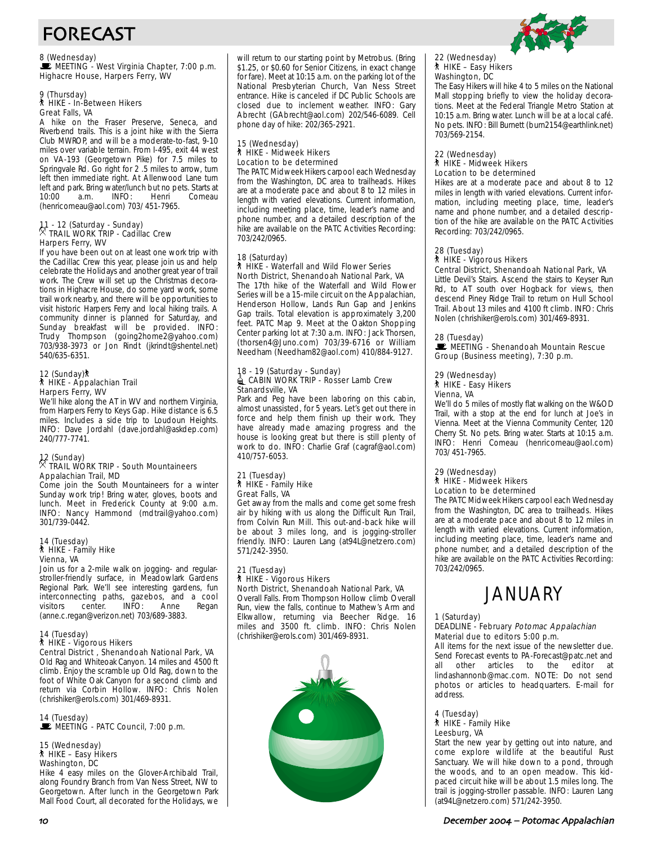# FORECAST

8 (Wednesday)<br>■ MEETING - West Virginia Chapter, 7:00 p.m. Highacre House, Harpers Ferry, WV

#### 9 (Thursday) ` HIKE - In-Between Hikers Great Falls, VA

A hike on the Fraser Preserve, Seneca, and Riverbend trails. This is a joint hike with the Sierra Club MWROP, and will be a moderate-to-fast, 9-10 miles over variable terrain. From I-495, exit 44 west on VA-193 (Georgetown Pike) for 7.5 miles to Springvale Rd. Go right for 2 .5 miles to arrow, turn left then immediate right. At Allenwood Lane turn left and park. Bring water/lunch but no pets. Starts at 10:00 a.m. INFO: Henri Comeau (henricomeau@aol.com) 703/ 451-7965.

# 11 - 12 (Saturday - Sunday) . TRAIL WORK TRIP - Cadillac Crew Harpers Ferry, WV

If you have been out on at least one work trip with the Cadillac Crew this year, please join us and help celebrate the Holidays and another great year of trail work. The Crew will set up the Christmas decorations in Highacre House, do some yard work, some trail work nearby, and there will be opportunities to visit historic Harpers Ferry and local hiking trails. A community dinner is planned for Saturday, and Sunday breakfast will be provided. INFO: Trudy Thompson (going2home2@yahoo.com) 703/938-3973 or Jon Rindt (jkrindt@shentel.net) 540/635-6351.

### 12 (Sunday) ` HIKE - Appalachian Trail Harpers Ferry, WV

We'll hike along the AT in WV and northern Virginia, from Harpers Ferry to Keys Gap. Hike distance is 6.5 miles. Includes a side trip to Loudoun Heights. INFO: Dave Jordahl (dave.jordahl@askdep.com) 240/777-7741.

# 12 (Sunday) . TRAIL WORK TRIP - South Mountaineers Appalachian Trail, MD

Come join the South Mountaineers for a winter Sunday work trip! Bring water, gloves, boots and lunch. Meet in Frederick County at 9:00 a.m. INFO: Nancy Hammond (mdtrail@yahoo.com) 301/739-0442.

### 14 (Tuesday) ` HIKE - Family Hike Vienna, VA

Join us for a 2-mile walk on jogging- and regularstroller-friendly surface, in Meadowlark Gardens Regional Park. We'll see interesting gardens, fun interconnecting paths, gazebos, and a cool visitors center. INFO: Anne Regan (anne.c.regan@verizon.net) 703/689-3883.

### 14 (Tuesday) ` HIKE - Vigorous Hikers Central District , Shenandoah National Park, VA

Old Rag and Whiteoak Canyon. 14 miles and 4500 ft climb. Enjoy the scramble up Old Rag, down to the foot of White Oak Canyon for a second climb and return via Corbin Hollow. INFO: Chris Nolen (chrishiker@erols.com) 301/469-8931.

# 14 (Tuesday)<br>■ MEETING - PATC Council, 7:00 p.m.

#### 15 (Wednesday) ` HIKE – Easy Hikers Washington, DC

Hike 4 easy miles on the Glover-Archibald Trail, along Foundry Branch from Van Ness Street, NW to Georgetown. After lunch in the Georgetown Park Mall Food Court, all decorated for the Holidays, we will return to our starting point by Metrobus. (Bring \$1.25, or \$0.60 for Senior Citizens, in exact change for fare). Meet at 10:15 a.m. on the parking lot of the National Presbyterian Church, Van Ness Street entrance. Hike is canceled if DC Public Schools are closed due to inclement weather. INFO: Gary Abrecht (GAbrecht@aol.com) 202/546-6089. Cell phone day of hike: 202/365-2921.

### 15 (Wednesday) ` HIKE - Midweek Hikers Location to be determined

The PATC Midweek Hikers carpool each Wednesday from the Washington, DC area to trailheads. Hikes are at a moderate pace and about 8 to 12 miles in length with varied elevations. Current information, including meeting place, time, leader's name and phone number, and a detailed description of the hike are available on the PATC Activities Recording: 703/242/0965.

### 18 (Saturday) ` HIKE - Waterfall and Wild Flower Series North District, Shenandoah National Park, VA

The 17th hike of the Waterfall and Wild Flower Series will be a 15-mile circuit on the Appalachian, Henderson Hollow, Lands Run Gap and Jenkins Gap trails. Total elevation is approximately 3,200 feet. PATC Map 9. Meet at the Oakton Shopping Center parking lot at 7:30 a.m. INFO: Jack Thorsen, (thorsen4@Juno.com) 703/39-6716 or William Needham (Needham82@aol.com) 410/884-9127.

#### 18 - 19 (Saturday - Sunday)  $\triangleq$  CABIN WORK TRIP - Rosser Lamb Crew Stanardsville, VA

Park and Peg have been laboring on this cabin, almost unassisted, for 5 years. Let's get out there in force and help them finish up their work. They have already made amazing progress and the house is looking great but there is still plenty of work to do. INFO: Charlie Graf (cagraf@aol.com) 410/757-6053.

### 21 (Tuesday) ` HIKE - Family Hike Great Falls, VA

Get away from the malls and come get some fresh air by hiking with us along the Difficult Run Trail, from Colvin Run Mill. This out-and-back hike will be about 3 miles long, and is jogging-stroller friendly. INFO: Lauren Lang (at94L@netzero.com) 571/242-3950.

#### 21 (Tuesday) ` HIKE - Vigorous Hikers North District, Shenandoah National Park, VA

Overall Falls. From Thompson Hollow climb Overall Run, view the falls, continue to Mathew's Arm and Elkwallow, returning via Beecher Ridge. 16 miles and 3500 ft. climb. INFO: Chris Nolen (chrishiker@erols.com) 301/469-8931.



# 22 (Wednesday) ` HIKE – Easy Hikers Washington, DC

The Easy Hikers will hike 4 to 5 miles on the National Mall stopping briefly to view the holiday decorations. Meet at the Federal Triangle Metro Station at 10:15 a.m. Bring water. Lunch will be at a local café. No pets. INFO: Bill Burnett (burn2154@earthlink.net) 703/569-2154.

#### 22 (Wednesday) **A** HIKE - Midweek Hikers Location to be determined

Hikes are at a moderate pace and about 8 to 12 miles in length with varied elevations. Current information, including meeting place, time, leader's name and phone number, and a detailed description of the hike are available on the PATC Activities Recording: 703/242/0965.

#### 28 (Tuesday) ` HIKE - Vigorous Hikers Central District, Shenandoah National Park, VA

Little Devil's Stairs. Ascend the stairs to Keyser Run Rd, to AT south over Hogback for views, then descend Piney Ridge Trail to return on Hull School Trail. About 13 miles and 4100 ft climb. INFO: Chris Nolen (chrishiker@erols.com) 301/469-8931.

### 28 (Tuesday)

MEETING - Shenandoah Mountain Rescue Group (Business meeting), 7:30 p.m.

### 29 (Wednesday) ` HIKE - Easy Hikers

# Vienna, VA

We'll do 5 miles of mostly flat walking on the W&OD Trail, with a stop at the end for lunch at Joe's in Vienna. Meet at the Vienna Community Center, 120 Cherry St. No pets. Bring water. Starts at 10:15 a.m. INFO: Henri Comeau (henricomeau@aol.com) 703/ 451-7965.

#### 29 (Wednesday) ` HIKE - Midweek Hikers Location to be determined

The PATC Midweek Hikers carpool each Wednesday from the Washington, DC area to trailheads. Hikes are at a moderate pace and about 8 to 12 miles in length with varied elevations. Current information, including meeting place, time, leader's name and phone number, and a detailed description of the hike are available on the PATC Activities Recording: 703/242/0965.

# **JANUARY**

1 (Saturday)

### DEADLINE - February Potomac Appalachian Material due to editors 5:00 p.m.

All items for the next issue of the newsletter due. Send Forecast events to PA-Forecast@patc.net and<br>all other articles to the editor at all other articles to the editor at lindashannonb@mac.com. NOTE: Do not send photos or articles to headquarters. E-mail for address.

### 4 (Tuesday) ` HIKE - Family Hike Leesburg, VA

Start the new year by getting out into nature, and come explore wildlife at the beautiful Rust Sanctuary. We will hike down to a pond, through the woods, and to an open meadow. This kidpaced circuit hike will be about 1.5 miles long. The trail is jogging-stroller passable. INFO: Lauren Lang (at94L@netzero.com) 571/242-3950.

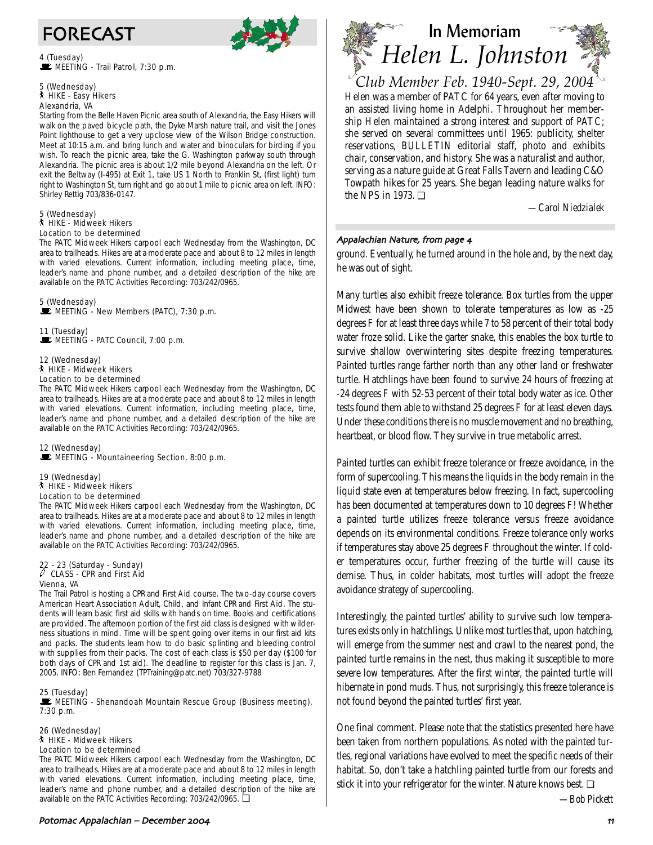

4 (Tuesday)  $\mathbf{\mathbf{\mathbf{\mathbb{E}}}}$  MEETING - Trail Patrol, 7:30 p.m.

### 5 (Wednesday) ` HIKE - Easy Hikers Alexandria, VA

Starting from the Belle Haven Picnic area south of Alexandria, the Easy Hikers will walk on the paved bicycle path, the Dyke Marsh nature trail, and visit the Jones Point lighthouse to get a very upclose view of the Wilson Bridge construction. Meet at 10:15 a.m. and bring lunch and water and binoculars for birding if you wish. To reach the picnic area, take the G. Washington parkway south through Alexandria. The picnic area is about 1/2 mile beyond Alexandria on the left. Or exit the Beltway (I-495) at Exit 1, take US 1 North to Franklin St, (first light) turn right to Washington St, turn right and go about 1 mile to picnic area on left. INFO: Shirley Rettig 703/836-0147.

### 5 (Wednesday) ` HIKE - Midweek Hikers Location to be determined

The PATC Midweek Hikers carpool each Wednesday from the Washington, DC area to trailheads. Hikes are at a moderate pace and about 8 to 12 miles in length with varied elevations. Current information, including meeting place, time, leader's name and phone number, and a detailed description of the hike are available on the PATC Activities Recording: 703/242/0965.

5 (Wednesday) MEETING - New Members (PATC), 7:30 p.m.

11 (Tuesday) MEETING - PATC Council, 7:00 p.m.

#### 12 (Wednesday) ` HIKE - Midweek Hikers Location to be determined

The PATC Midweek Hikers carpool each Wednesday from the Washington, DC area to trailheads. Hikes are at a moderate pace and about 8 to 12 miles in length with varied elevations. Current information, including meeting place, time, leader's name and phone number, and a detailed description of the hike are available on the PATC Activities Recording: 703/242/0965.

### 12 (Wednesday)  $\mathbb E$  MEETING - Mountaineering Section, 8:00 p.m.

19 (Wednesday) ` HIKE - Midweek Hikers Location to be determined

The PATC Midweek Hikers carpool each Wednesday from the Washington, DC area to trailheads. Hikes are at a moderate pace and about 8 to 12 miles in length with varied elevations. Current information, including meeting place, time, leader's name and phone number, and a detailed description of the hike are available on the PATC Activities Recording: 703/242/0965.

# 22 - 23 (Saturday - Sunday) a CLASS - CPR and First Aid Vienna, VA

The Trail Patrol is hosting a CPR and First Aid course. The two-day course covers American Heart Association Adult, Child, and Infant CPR and First Aid. The students will learn basic first aid skills with hands on time. Books and certifications are provided. The afternoon portion of the first aid class is designed with wilderness situations in mind. Time will be spent going over items in our first aid kits and packs. The students learn how to do basic splinting and bleeding control with supplies from their packs. The cost of each class is \$50 per day (\$100 for both days of CPR and 1st aid). The deadline to register for this class is Jan. 7, 2005. INFO: Ben Fernandez (TPTraining@patc.net) 703/327-9788

### 25 (Tuesday)

**WEETING - Shenandoah Mountain Rescue Group (Business meeting),** 7:30 p.m.

26 (Wednesday) ` HIKE - Midweek Hikers Location to be determined

The PATC Midweek Hikers carpool each Wednesday from the Washington, DC area to trailheads. Hikes are at a moderate pace and about 8 to 12 miles in length with varied elevations. Current information, including meeting place, time, leader's name and phone number, and a detailed description of the hike are available on the PATC Activities Recording: 703/242/0965. ❏



Helen was a member of PATC for 64 years, even after moving to an assisted living home in Adelphi. Throughout her membership Helen maintained a strong interest and support of PATC; she served on several committees until 1965: publicity, shelter reservations, *BULLETIN* editorial staff, photo and exhibits chair, conservation, and history. She was a naturalist and author, serving as a nature guide at Great Falls Tavern and leading C&O Towpath hikes for 25 years. She began leading nature walks for the NPS in 1973. ❏ *Club Member Feb. 1940-Sept. 29, 2004*

*—Carol Niedzialek*

### Appalachian Nature, from page 4

ground. Eventually, he turned around in the hole and, by the next day, he was out of sight.

Many turtles also exhibit freeze tolerance. Box turtles from the upper Midwest have been shown to tolerate temperatures as low as -25 degrees F for at least three days while 7 to 58 percent of their total body water froze solid. Like the garter snake, this enables the box turtle to survive shallow overwintering sites despite freezing temperatures. Painted turtles range farther north than any other land or freshwater turtle. Hatchlings have been found to survive 24 hours of freezing at -24 degrees F with 52-53 percent of their total body water as ice. Other tests found them able to withstand 25 degrees F for at least eleven days. Under these conditions there is no muscle movement and no breathing, heartbeat, or blood flow. They survive in true metabolic arrest.

Painted turtles can exhibit freeze tolerance or freeze avoidance, in the form of supercooling. This means the liquids in the body remain in the liquid state even at temperatures below freezing. In fact, supercooling has been documented at temperatures down to 10 degrees F! Whether a painted turtle utilizes freeze tolerance versus freeze avoidance depends on its environmental conditions. Freeze tolerance only works if temperatures stay above 25 degrees F throughout the winter. If colder temperatures occur, further freezing of the turtle will cause its demise. Thus, in colder habitats, most turtles will adopt the freeze avoidance strategy of supercooling.

Interestingly, the painted turtles' ability to survive such low temperatures exists only in hatchlings. Unlike most turtles that, upon hatching, will emerge from the summer nest and crawl to the nearest pond, the painted turtle remains in the nest, thus making it susceptible to more severe low temperatures. After the first winter, the painted turtle will hibernate in pond muds. Thus, not surprisingly, this freeze tolerance is not found beyond the painted turtles' first year.

One final comment. Please note that the statistics presented here have been taken from northern populations. As noted with the painted turtles, regional variations have evolved to meet the specific needs of their habitat. So, don't take a hatchling painted turtle from our forests and stick it into your refrigerator for the winter. Nature knows best. ❏

*—Bob Pickett*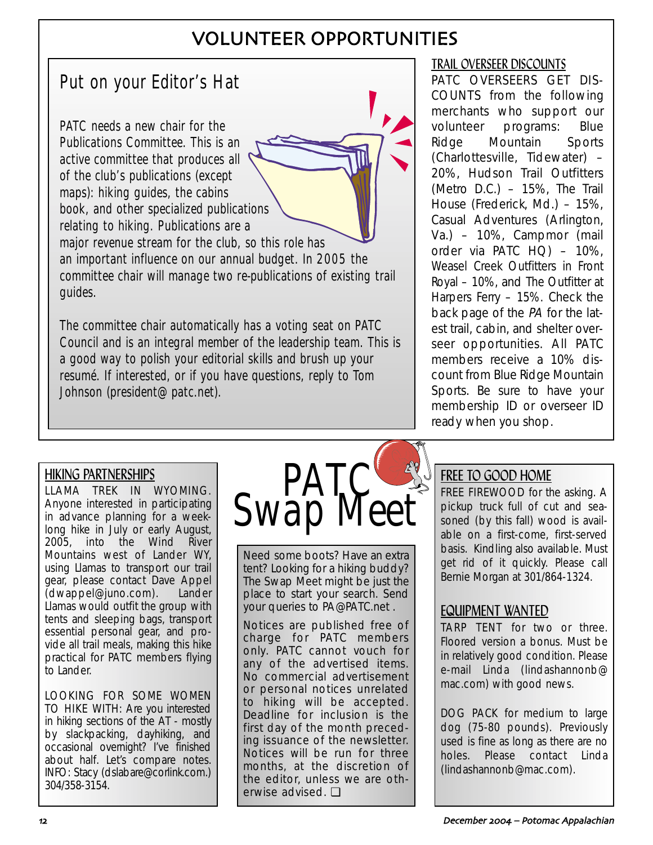# VOLUNTEER OPPORTUNITIES

# Put on your Editor's Hat

PATC needs a new chair for the Publications Committee. This is an active committee that produces all of the club's publications (except maps): hiking guides, the cabins book, and other specialized publications relating to hiking. Publications are a major revenue stream for the club, so this role has

an important influence on our annual budget. In 2005 the committee chair will manage two re-publications of existing trail guides.

The committee chair automatically has a voting seat on PATC Council and is an integral member of the leadership team. This is a good way to polish your editorial skills and brush up your resumé. If interested, or if you have questions, reply to Tom Johnson (president@patc.net).

# TRAIL OVERSEER DISCOUNTS

PATC OVERSEERS GET DIS-COUNTS from the following merchants who support our volunteer programs: Blue Ridge Mountain Sports (Charlottesville, Tidewater) – 20%, Hudson Trail Outfitters (Metro D.C.) – 15%, The Trail House (Frederick, Md.) – 15%, Casual Adventures (Arlington, Va.) – 10%, Campmor (mail order via PATC HQ) – 10%, Weasel Creek Outfitters in Front Royal – 10%, and The Outfitter at Harpers Ferry – 15%. Check the back page of the PA for the latest trail, cabin, and shelter overseer opportunities. All PATC members receive a 10% discount from Blue Ridge Mountain Sports. Be sure to have your membership ID or overseer ID ready when you shop.

# HIKING PARTNERSHIPS

LLAMA TREK IN WYOMING. Anyone interested in participating in advance planning for a weeklong hike in July or early August, 2005, into the Wind River Mountains west of Lander WY, using Llamas to transport our trail gear, please contact Dave Appel (dwappel@juno.com). Lander Llamas would outfit the group with tents and sleeping bags, transport essential personal gear, and provide all trail meals, making this hike practical for PATC members flying to Lander.

LOOKING FOR SOME WOMEN TO HIKE WITH: Are you interested in hiking sections of the AT - mostly by slackpacking, dayhiking, and occasional overnight? I've finished about half. Let's compare notes. INFO: Stacy (dslabare@corlink.com.) 304/358-3154.



Need some boots? Have an extra tent? Looking for a hiking buddy? The Swap Meet might be just the place to start your search. Send your queries to PA@PATC.net .

Notices are published free of charge for PATC members only. PATC cannot vouch for any of the advertised items. No commercial advertisement or personal notices unrelated to hiking will be accepted. Deadline for inclusion is the first day of the month preceding issuance of the newsletter. Notices will be run for three months, at the discretion of the editor, unless we are otherwise advised. ❏

# FREE TO GOOD HOME

FREE FIREWOOD for the asking. A pickup truck full of cut and seasoned (by this fall) wood is available on a first-come, first-served basis. Kindling also available. Must get rid of it quickly. Please call Bernie Morgan at 301/864-1324.

# EQUIPMENT WANTED

TARP TENT for two or three. Floored version a bonus. Must be in relatively good condition. Please e-mail Linda (lindashannonb@ mac.com) with good news.

DOG PACK for medium to large dog (75-80 pounds). Previously used is fine as long as there are no holes. Please contact Linda (lindashannonb@mac.com).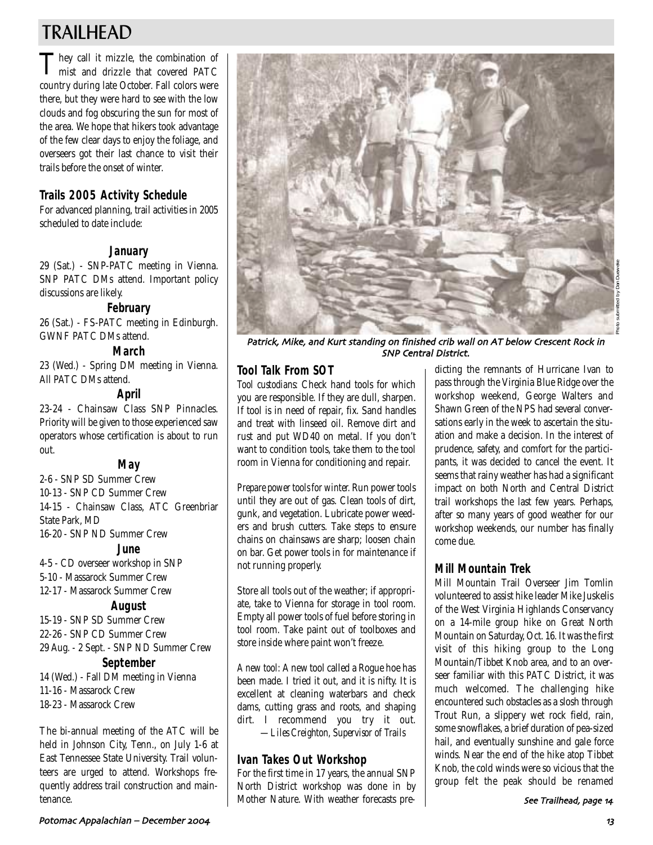# TRAILHEAD

They call it mizzle, the combination of mist and drizzle that covered PATC country during late October. Fall colors were there, but they were hard to see with the low clouds and fog obscuring the sun for most of the area. We hope that hikers took advantage of the few clear days to enjoy the foliage, and overseers got their last chance to visit their trails before the onset of winter.

# **Trails 2005 Activity Schedule**

For advanced planning, trail activities in 2005 scheduled to date include:

# **January**

29 (Sat.) - SNP-PATC meeting in Vienna. SNP PATC DMs attend. Important policy discussions are likely.

### **February**

26 (Sat.) - FS-PATC meeting in Edinburgh. GWNF PATC DMs attend.

# **March**

23 (Wed.) - Spring DM meeting in Vienna. All PATC DMs attend.

### **April**

23-24 - Chainsaw Class SNP Pinnacles. Priority will be given to those experienced saw operators whose certification is about to run out.

### **May**

2-6 - SNP SD Summer Crew 10-13 - SNP CD Summer Crew 14-15 - Chainsaw Class, ATC Greenbriar State Park, MD 16-20 - SNP ND Summer Crew

### **June**

4-5 - CD overseer workshop in SNP 5-10 - Massarock Summer Crew 12-17 - Massarock Summer Crew

### **August**

15-19 - SNP SD Summer Crew 22-26 - SNP CD Summer Crew 29 Aug. - 2 Sept. - SNP ND Summer Crew

# **September**

14 (Wed.) - Fall DM meeting in Vienna 11-16 - Massarock Crew 18-23 - Massarock Crew

The bi-annual meeting of the ATC will be held in Johnson City, Tenn., on July 1-6 at East Tennessee State University. Trail volunteers are urged to attend. Workshops frequently address trail construction and maintenance.



Patrick, Mike, and Kurt standing on finished crib wall on AT below Crescent Rock in SNP Central District.

# **Tool Talk From SOT**

*Tool custodians:* Check hand tools for which you are responsible. If they are dull, sharpen. If tool is in need of repair, fix. Sand handles and treat with linseed oil. Remove dirt and rust and put WD40 on metal. If you don't want to condition tools, take them to the tool room in Vienna for conditioning and repair.

*Prepare power tools for winter.* Run power tools until they are out of gas. Clean tools of dirt, gunk, and vegetation. Lubricate power weeders and brush cutters. Take steps to ensure chains on chainsaws are sharp; loosen chain on bar. Get power tools in for maintenance if not running properly.

Store all tools out of the weather; if appropriate, take to Vienna for storage in tool room. Empty all power tools of fuel before storing in tool room. Take paint out of toolboxes and store inside where paint won't freeze.

*A new tool:* A new tool called a Rogue hoe has been made. I tried it out, and it is nifty. It is excellent at cleaning waterbars and check dams, cutting grass and roots, and shaping dirt. I recommend you try it out. *—Liles Creighton, Supervisor of Trails*

# **Ivan Takes Out Workshop**

For the first time in 17 years, the annual SNP North District workshop was done in by Mother Nature. With weather forecasts pre-

dicting the remnants of Hurricane Ivan to pass through the Virginia Blue Ridge over the workshop weekend, George Walters and Shawn Green of the NPS had several conversations early in the week to ascertain the situation and make a decision. In the interest of prudence, safety, and comfort for the participants, it was decided to cancel the event. It seems that rainy weather has had a significant impact on both North and Central District trail workshops the last few years. Perhaps, after so many years of good weather for our workshop weekends, our number has finally come due.

# **Mill Mountain Trek**

Mill Mountain Trail Overseer Jim Tomlin volunteered to assist hike leader Mike Juskelis of the West Virginia Highlands Conservancy on a 14-mile group hike on Great North Mountain on Saturday, Oct. 16. It was the first visit of this hiking group to the Long Mountain/Tibbet Knob area, and to an overseer familiar with this PATC District, it was much welcomed. The challenging hike encountered such obstacles as a slosh through Trout Run, a slippery wet rock field, rain, some snowflakes, a brief duration of pea-sized hail, and eventually sunshine and gale force winds. Near the end of the hike atop Tibbet Knob, the cold winds were so vicious that the group felt the peak should be renamed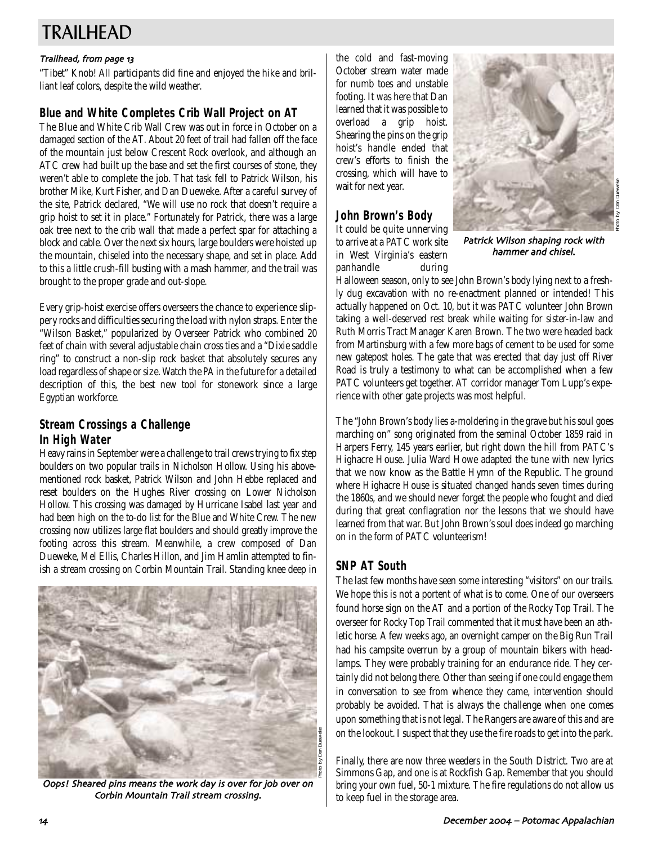# TRAILHEAD

### Trailhead, from page 13

"Tibet" Knob! All participants did fine and enjoyed the hike and brilliant leaf colors, despite the wild weather.

# **Blue and White Completes Crib Wall Project on AT**

The Blue and White Crib Wall Crew was out in force in October on a damaged section of the AT. About 20 feet of trail had fallen off the face of the mountain just below Crescent Rock overlook, and although an ATC crew had built up the base and set the first courses of stone, they weren't able to complete the job. That task fell to Patrick Wilson, his brother Mike, Kurt Fisher, and Dan Dueweke. After a careful survey of the site, Patrick declared, "We will use no rock that doesn't require a grip hoist to set it in place." Fortunately for Patrick, there was a large oak tree next to the crib wall that made a perfect spar for attaching a block and cable. Over the next six hours, large boulders were hoisted up the mountain, chiseled into the necessary shape, and set in place. Add to this a little crush-fill busting with a mash hammer, and the trail was brought to the proper grade and out-slope.

Every grip-hoist exercise offers overseers the chance to experience slippery rocks and difficulties securing the load with nylon straps. Enter the "Wilson Basket," popularized by Overseer Patrick who combined 20 feet of chain with several adjustable chain cross ties and a "Dixie saddle ring" to construct a non-slip rock basket that absolutely secures any load regardless of shape or size. Watch the *PA* in the future for a detailed description of this, the best new tool for stonework since a large Egyptian workforce.

# **Stream Crossings a Challenge In High Water**

Heavy rains in September were a challenge to trail crews trying to fix step boulders on two popular trails in Nicholson Hollow. Using his abovementioned rock basket, Patrick Wilson and John Hebbe replaced and reset boulders on the Hughes River crossing on Lower Nicholson Hollow. This crossing was damaged by Hurricane Isabel last year and had been high on the to-do list for the Blue and White Crew. The new crossing now utilizes large flat boulders and should greatly improve the footing across this stream. Meanwhile, a crew composed of Dan Dueweke, Mel Ellis, Charles Hillon, and Jim Hamlin attempted to finish a stream crossing on Corbin Mountain Trail. Standing knee deep in



Oops! Sheared pins means the work day is over for job over on Corbin Mountain Trail stream crossing.

the cold and fast-moving October stream water made for numb toes and unstable footing. It was here that Dan learned that it was possible to overload a grip hoist. Shearing the pins on the grip hoist's handle ended that crew's efforts to finish the crossing, which will have to wait for next year.

# **John Brown's Body**

It could be quite unnerving to arrive at a PATC work site in West Virginia's eastern panhandle during



Patrick Wilson shaping rock with hammer and chisel.

Halloween season, only to see John Brown's body lying next to a freshly dug excavation with no re-enactment planned or intended! This actually happened on Oct. 10, but it was PATC volunteer John Brown taking a well-deserved rest break while waiting for sister-in-law and Ruth Morris Tract Manager Karen Brown. The two were headed back from Martinsburg with a few more bags of cement to be used for some new gatepost holes. The gate that was erected that day just off River Road is truly a testimony to what can be accomplished when a few PATC volunteers get together. AT corridor manager Tom Lupp's experience with other gate projects was most helpful.

The "John Brown's body lies a-moldering in the grave but his soul goes marching on" song originated from the seminal October 1859 raid in Harpers Ferry, 145 years earlier, but right down the hill from PATC's Highacre House. Julia Ward Howe adapted the tune with new lyrics that we now know as the Battle Hymn of the Republic. The ground where Highacre House is situated changed hands seven times during the 1860s, and we should never forget the people who fought and died during that great conflagration nor the lessons that we should have learned from that war. But John Brown's soul does indeed go marching on in the form of PATC volunteerism!

# **SNP AT South**

The last few months have seen some interesting "visitors" on our trails. We hope this is not a portent of what is to come. One of our overseers found horse sign on the AT and a portion of the Rocky Top Trail. The overseer for Rocky Top Trail commented that it must have been an athletic horse. A few weeks ago, an overnight camper on the Big Run Trail had his campsite overrun by a group of mountain bikers with headlamps. They were probably training for an endurance ride. They certainly did not belong there. Other than seeing if one could engage them in conversation to see from whence they came, intervention should probably be avoided. That is always the challenge when one comes upon something that is not legal. The Rangers are aware of this and are on the lookout. I suspect that they use the fire roads to get into the park.

Finally, there are now three weeders in the South District. Two are at Simmons Gap, and one is at Rockfish Gap. Remember that you should bring your own fuel, 50-1 mixture. The fire regulations do not allow us to keep fuel in the storage area.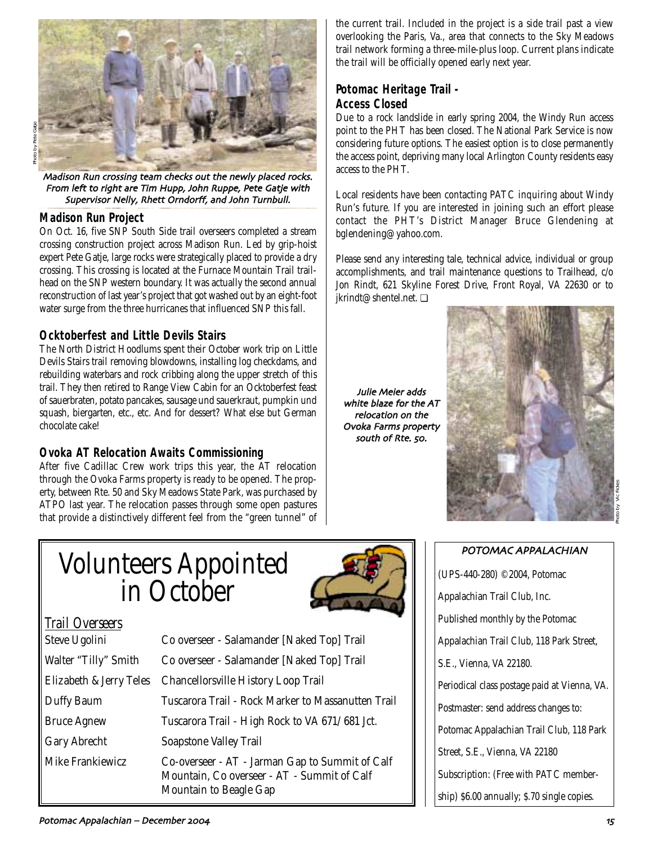

Photo by Pete Gatje

Madison Run crossing team checks out the newly placed rocks. From left to right are Tim Hupp, John Ruppe, Pete Gatje with Supervisor Nelly, Rhett Orndorff, and John Turnbull.

### **Madison Run Project**

On Oct. 16, five SNP South Side trail overseers completed a stream crossing construction project across Madison Run. Led by grip-hoist expert Pete Gatje, large rocks were strategically placed to provide a dry crossing. This crossing is located at the Furnace Mountain Trail trailhead on the SNP western boundary. It was actually the second annual reconstruction of last year's project that got washed out by an eight-foot water surge from the three hurricanes that influenced SNP this fall.

# **Ocktoberfest and Little Devils Stairs**

The North District Hoodlums spent their October work trip on Little Devils Stairs trail removing blowdowns, installing log checkdams, and rebuilding waterbars and rock cribbing along the upper stretch of this trail. They then retired to Range View Cabin for an Ocktoberfest feast of sauerbraten, potato pancakes, sausage und sauerkraut, pumpkin und squash, biergarten, etc., etc. And for dessert? What else but German chocolate cake!

# **Ovoka AT Relocation Awaits Commissioning**

After five Cadillac Crew work trips this year, the AT relocation through the Ovoka Farms property is ready to be opened. The property, between Rte. 50 and Sky Meadows State Park, was purchased by ATPO last year. The relocation passes through some open pastures that provide a distinctively different feel from the "green tunnel" of the current trail. Included in the project is a side trail past a view overlooking the Paris, Va., area that connects to the Sky Meadows trail network forming a three-mile-plus loop. Current plans indicate the trail will be officially opened early next year.

### **Potomac Heritage Trail - Access Closed**

Due to a rock landslide in early spring 2004, the Windy Run access point to the PHT has been closed. The National Park Service is now considering future options. The easiest option is to close permanently the access point, depriving many local Arlington County residents easy access to the PHT.

Local residents have been contacting PATC inquiring about Windy Run's future. If you are interested in joining such an effort please contact the PHT's District Manager Bruce Glendening at bglendening@yahoo.com.

Please send any interesting tale, technical advice, individual or group accomplishments, and trail maintenance questions to Trailhead, c/o Jon Rindt, 621 Skyline Forest Drive, Front Royal, VA 22630 or to jkrindt@shentel.net. ❏

Julie Meier adds white blaze for the AT relocation on the Ovoka Farms property south of Rte. 50.



# Photo by Vic Fickes

# Volunteers Appointed in October



| <b>Trail Overseers</b> |
|------------------------|
|                        |

| <b>DICAC ORONNI</b>     |
|-------------------------|
| Walter "Tilly" Smith    |
| Elizabeth & Jerry Teles |
| Duffy Baum              |
| <b>Bruce Agnew</b>      |
| <b>Gary Abrecht</b>     |
| Mike Frankiewicz        |
|                         |

Steve Ugolini Co overseer - Salamander [Naked Top] Trail Co overseer - Salamander [Naked Top] Trail Chancellorsville History Loop Trail Tuscarora Trail - Rock Marker to Massanutten Trail Tuscarora Trail - High Rock to VA 671/ 681 Jct. Soapstone Valley Trail Co-overseer - AT - Jarman Gap to Summit of Calf Mountain, Co overseer - AT - Summit of Calf Mountain to Beagle Gap

# POTOMAC APPALACHIAN

(UPS-440-280) ©2004, Potomac Appalachian Trail Club, Inc. Published monthly by the Potomac Appalachian Trail Club, 118 Park Street, S.E., Vienna, VA 22180. Periodical class postage paid at Vienna, VA. Postmaster: send address changes to: Potomac Appalachian Trail Club, 118 Park Street, S.E., Vienna, VA 22180 Subscription: (Free with PATC membership) \$6.00 annually; \$.70 single copies.